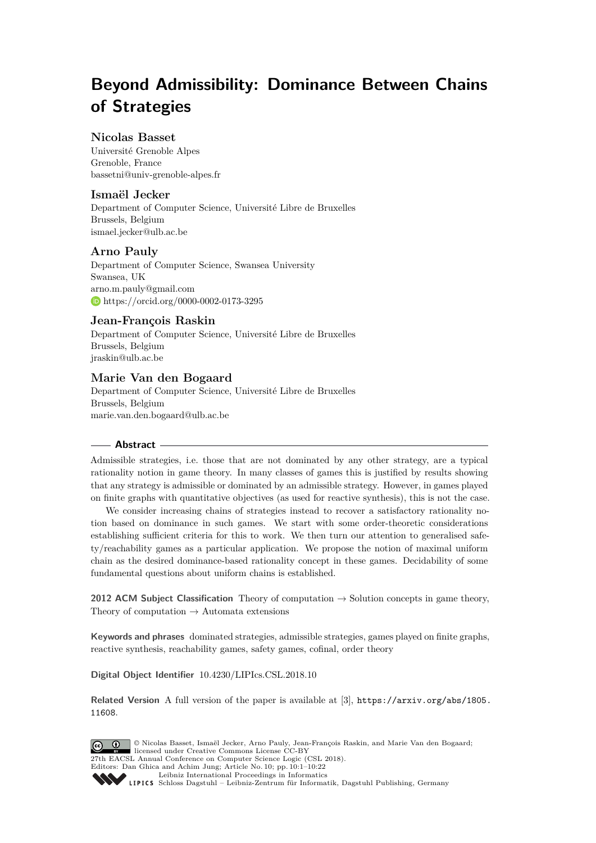# **Beyond Admissibility: Dominance Between Chains of Strategies**

# **Nicolas Basset**

Université Grenoble Alpes Grenoble, France [bassetni@univ-grenoble-alpes.fr](mailto:bassetni@univ-grenoble-alpes.fr)

# **Ismaël Jecker**

Department of Computer Science, Université Libre de Bruxelles Brussels, Belgium [ismael.jecker@ulb.ac.be](mailto:ismael.jecker@ulb.ac.be)

## **Arno Pauly**

Department of Computer Science, Swansea University Swansea, UK [arno.m.pauly@gmail.com](mailto:arno.m.pauly@gmail.com) <https://orcid.org/0000-0002-0173-3295>

## **Jean-François Raskin**

Department of Computer Science, Université Libre de Bruxelles Brussels, Belgium [jraskin@ulb.ac.be](mailto:jraskin@ulb.ac.be)

# **Marie Van den Bogaard**

Department of Computer Science, Université Libre de Bruxelles Brussels, Belgium [marie.van.den.bogaard@ulb.ac.be](mailto:marie.van.den.bogaard@ulb.ac.be)

## **Abstract**

Admissible strategies, i.e. those that are not dominated by any other strategy, are a typical rationality notion in game theory. In many classes of games this is justified by results showing that any strategy is admissible or dominated by an admissible strategy. However, in games played on finite graphs with quantitative objectives (as used for reactive synthesis), this is not the case.

We consider increasing chains of strategies instead to recover a satisfactory rationality notion based on dominance in such games. We start with some order-theoretic considerations establishing sufficient criteria for this to work. We then turn our attention to generalised safety/reachability games as a particular application. We propose the notion of maximal uniform chain as the desired dominance-based rationality concept in these games. Decidability of some fundamental questions about uniform chains is established.

**2012 ACM Subject Classification** Theory of computation → Solution concepts in game theory, Theory of computation  $\rightarrow$  Automata extensions

**Keywords and phrases** dominated strategies, admissible strategies, games played on finite graphs, reactive synthesis, reachability games, safety games, cofinal, order theory

**Digital Object Identifier** [10.4230/LIPIcs.CSL.2018.10](http://dx.doi.org/10.4230/LIPIcs.CSL.2018.10)

**Related Version** A full version of the paper is available at [\[3\]](#page-15-0), [https://arxiv.org/abs/1805.](https://arxiv.org/abs/1805.11608) [11608](https://arxiv.org/abs/1805.11608).

© Nicolas Basset, Ismaël Jecker, Arno Pauly, Jean-François Raskin, and Marie Van den Bogaard; licensed under Creative Commons License CC-BY 27th EACSL Annual Conference on Computer Science Logic (CSL 2018). Editors: Dan Ghica and Achim Jung; Article No. 10; pp. 10:1–10[:22](#page-21-0) [Leibniz International Proceedings in Informatics](http://www.dagstuhl.de/lipics/) Leibniz international riveredings in miximetrix<br>
LIPICS [Schloss Dagstuhl – Leibniz-Zentrum für Informatik, Dagstuhl Publishing, Germany](http://www.dagstuhl.de)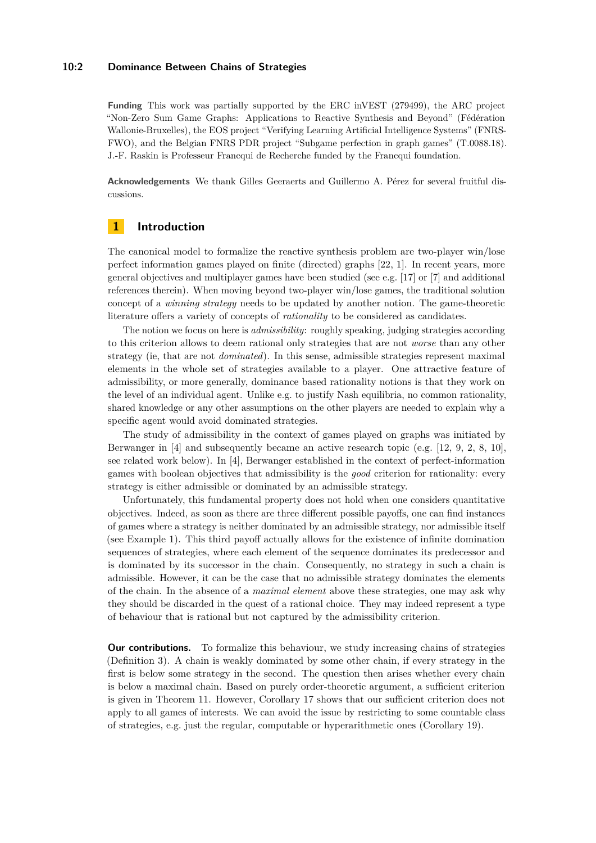#### **10:2 Dominance Between Chains of Strategies**

**Funding** This work was partially supported by the ERC inVEST (279499), the ARC project "Non-Zero Sum Game Graphs: Applications to Reactive Synthesis and Beyond" (Fédération Wallonie-Bruxelles), the EOS project "Verifying Learning Artificial Intelligence Systems" (FNRS-FWO), and the Belgian FNRS PDR project "Subgame perfection in graph games" (T.0088.18). J.-F. Raskin is Professeur Francqui de Recherche funded by the Francqui foundation.

**Acknowledgements** We thank Gilles Geeraerts and Guillermo A. Pérez for several fruitful discussions.

# **1 Introduction**

The canonical model to formalize the reactive synthesis problem are two-player win/lose perfect information games played on finite (directed) graphs [\[22,](#page-16-0) [1\]](#page-15-1). In recent years, more general objectives and multiplayer games have been studied (see e.g. [\[17\]](#page-16-1) or [\[7\]](#page-15-2) and additional references therein). When moving beyond two-player win/lose games, the traditional solution concept of a *winning strategy* needs to be updated by another notion. The game-theoretic literature offers a variety of concepts of *rationality* to be considered as candidates.

The notion we focus on here is *admissibility*: roughly speaking, judging strategies according to this criterion allows to deem rational only strategies that are not *worse* than any other strategy (ie, that are not *dominated*). In this sense, admissible strategies represent maximal elements in the whole set of strategies available to a player. One attractive feature of admissibility, or more generally, dominance based rationality notions is that they work on the level of an individual agent. Unlike e.g. to justify Nash equilibria, no common rationality, shared knowledge or any other assumptions on the other players are needed to explain why a specific agent would avoid dominated strategies.

The study of admissibility in the context of games played on graphs was initiated by Berwanger in [\[4\]](#page-15-3) and subsequently became an active research topic (e.g. [\[12,](#page-16-2) [9,](#page-15-4) [2,](#page-15-5) [8,](#page-15-6) [10\]](#page-16-3), see related work below). In [\[4\]](#page-15-3), Berwanger established in the context of perfect-information games with boolean objectives that admissibility is the *good* criterion for rationality: every strategy is either admissible or dominated by an admissible strategy.

Unfortunately, this fundamental property does not hold when one considers quantitative objectives. Indeed, as soon as there are three different possible payoffs, one can find instances of games where a strategy is neither dominated by an admissible strategy, nor admissible itself (see Example [1\)](#page-4-0). This third payoff actually allows for the existence of infinite domination sequences of strategies, where each element of the sequence dominates its predecessor and is dominated by its successor in the chain. Consequently, no strategy in such a chain is admissible. However, it can be the case that no admissible strategy dominates the elements of the chain. In the absence of a *maximal element* above these strategies, one may ask why they should be discarded in the quest of a rational choice. They may indeed represent a type of behaviour that is rational but not captured by the admissibility criterion.

**Our contributions.** To formalize this behaviour, we study increasing chains of strategies (Definition [3\)](#page-6-0). A chain is weakly dominated by some other chain, if every strategy in the first is below some strategy in the second. The question then arises whether every chain is below a maximal chain. Based on purely order-theoretic argument, a sufficient criterion is given in Theorem [11.](#page-7-0) However, Corollary [17](#page-8-0) shows that our sufficient criterion does not apply to all games of interests. We can avoid the issue by restricting to some countable class of strategies, e.g. just the regular, computable or hyperarithmetic ones (Corollary [19\)](#page-9-0).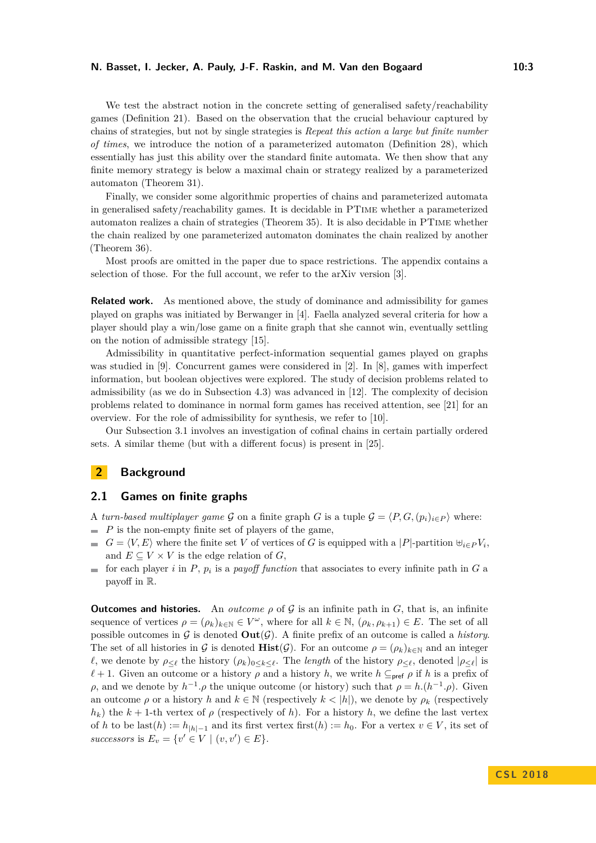#### **N. Basset, I. Jecker, A. Pauly, J-F. Raskin, and M. Van den Bogaard 10:3** 10:3

We test the abstract notion in the concrete setting of generalised safety/reachability games (Definition [21\)](#page-9-1). Based on the observation that the crucial behaviour captured by chains of strategies, but not by single strategies is *Repeat this action a large but finite number of times*, we introduce the notion of a parameterized automaton (Definition [28\)](#page-11-0), which essentially has just this ability over the standard finite automata. We then show that any finite memory strategy is below a maximal chain or strategy realized by a parameterized automaton (Theorem [31\)](#page-12-0).

Finally, we consider some algorithmic properties of chains and parameterized automata in generalised safety/reachability games. It is decidable in PTime whether a parameterized automaton realizes a chain of strategies (Theorem [35\)](#page-14-0). It is also decidable in PTime whether the chain realized by one parameterized automaton dominates the chain realized by another (Theorem [36\)](#page-14-1).

Most proofs are omitted in the paper due to space restrictions. The appendix contains a selection of those. For the full account, we refer to the arXiv version [\[3\]](#page-15-0).

**Related work.** As mentioned above, the study of dominance and admissibility for games played on graphs was initiated by Berwanger in [\[4\]](#page-15-3). Faella analyzed several criteria for how a player should play a win/lose game on a finite graph that she cannot win, eventually settling on the notion of admissible strategy [\[15\]](#page-16-4).

Admissibility in quantitative perfect-information sequential games played on graphs was studied in [\[9\]](#page-15-4). Concurrent games were considered in [\[2\]](#page-15-5). In [\[8\]](#page-15-6), games with imperfect information, but boolean objectives were explored. The study of decision problems related to admissibility (as we do in Subsection [4.3\)](#page-13-0) was advanced in [\[12\]](#page-16-2). The complexity of decision problems related to dominance in normal form games has received attention, see [\[21\]](#page-16-5) for an overview. For the role of admissibility for synthesis, we refer to [\[10\]](#page-16-3).

Our Subsection [3.1](#page-6-1) involves an investigation of cofinal chains in certain partially ordered sets. A similar theme (but with a different focus) is present in [\[25\]](#page-16-6).

# **2 Background**

## **2.1 Games on finite graphs**

A *turn-based multiplayer game* G on a finite graph G is a tuple  $\mathcal{G} = \langle P, G, (p_i)_{i \in P} \rangle$  where:  $\blacksquare$  *P* is the non-empty finite set of players of the game,

- $G = \langle V, E \rangle$  where the finite set *V* of vertices of *G* is equipped with a |*P*|-partition  $\biguplus_i \in P V_i$ , and  $E \subseteq V \times V$  is the edge relation of  $G$ ,
- for each player *i* in  $P$ ,  $p_i$  is a *payoff function* that associates to every infinite path in  $G$  a payoff in R.

**Outcomes and histories.** An *outcome*  $\rho$  of  $\mathcal{G}$  is an infinite path in  $G$ , that is, an infinite sequence of vertices  $\rho = (\rho_k)_{k \in \mathbb{N}} \in V^\omega$ , where for all  $k \in \mathbb{N}$ ,  $(\rho_k, \rho_{k+1}) \in E$ . The set of all possible outcomes in  $\mathcal G$  is denoted  $\text{Out}(\mathcal G)$ . A finite prefix of an outcome is called a *history*. The set of all histories in G is denoted  $\textbf{Hist}(\mathcal{G})$ . For an outcome  $\rho = (\rho_k)_{k \in \mathbb{N}}$  and an integer *l*, we denote by  $\rho_{\leq \ell}$  the history  $(\rho_k)_{0 \leq k \leq \ell}$ . The *length* of the history  $\rho_{\leq \ell}$ , denoted  $|\rho_{\leq \ell}|$  is  $\ell + 1$ . Given an outcome or a history *ρ* and a history *h*, we write  $h \subseteq_{\text{pref}} \rho$  if *h* is a prefix of *ρ*, and we denote by  $h^{-1}$ . *ρ* the unique outcome (or history) such that  $ρ = h.(h^{-1}.ρ)$ . Given an outcome  $\rho$  or a history *h* and  $k \in \mathbb{N}$  (respectively  $k < |h|$ ), we denote by  $\rho_k$  (respectively  $h_k$ ) the  $k + 1$ -th vertex of  $\rho$  (respectively of *h*). For a history *h*, we define the last vertex of *h* to be last(*h*) :=  $h_{|h|-1}$  and its first vertex first(*h*) :=  $h_0$ . For a vertex  $v \in V$ , its set of *successors* is  $E_v = \{v' \in V \mid (v, v') \in E\}.$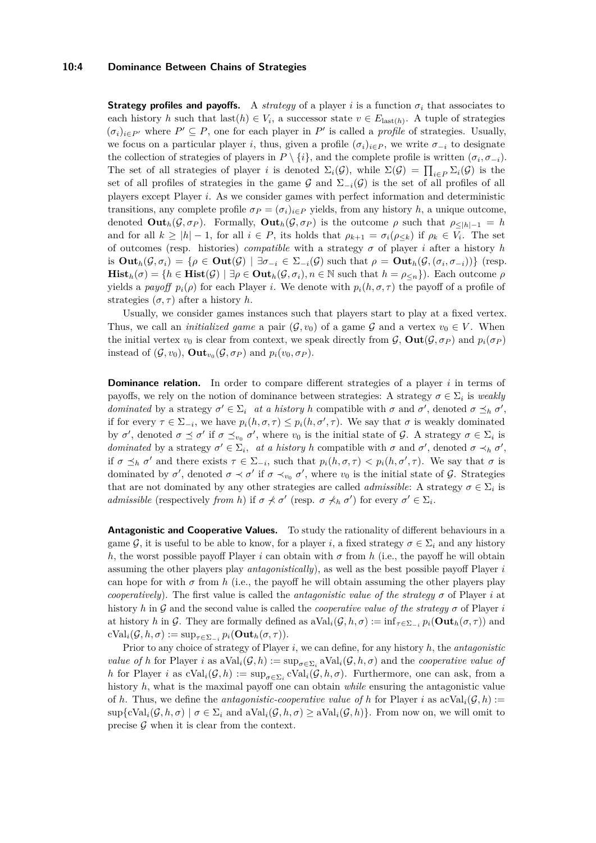#### **10:4 Dominance Between Chains of Strategies**

**Strategy profiles and payoffs.** A *strategy* of a player *i* is a function  $\sigma_i$  that associates to each history *h* such that last $(h) \in V_i$ , a successor state  $v \in E_{last(h)}$ . A tuple of strategies  $(\sigma_i)_{i \in P'}$  where  $P' \subseteq P$ , one for each player in P' is called a *profile* of strategies. Usually, we focus on a particular player *i*, thus, given a profile  $(\sigma_i)_{i \in P}$ , we write  $\sigma_{-i}$  to designate the collection of strategies of players in  $P \setminus \{i\}$ , and the complete profile is written  $(\sigma_i, \sigma_{-i})$ . The set of all strategies of player *i* is denoted  $\Sigma_i(\mathcal{G})$ , while  $\Sigma(\mathcal{G}) = \prod_{i \in P} \Sigma_i(\mathcal{G})$  is the set of all profiles of strategies in the game G and  $\Sigma_{-i}(G)$  is the set of all profiles of all players except Player *i*. As we consider games with perfect information and deterministic transitions, any complete profile  $\sigma_P = (\sigma_i)_{i \in P}$  yields, from any history *h*, a unique outcome, denoted  $\text{Out}_h(\mathcal{G}, \sigma_P)$ . Formally,  $\text{Out}_h(\mathcal{G}, \sigma_P)$  is the outcome  $\rho$  such that  $\rho_{\leq |h|-1} = h$ and for all  $k \geq |h| - 1$ , for all  $i \in P$ , its holds that  $\rho_{k+1} = \sigma_i(\rho_{\leq k})$  if  $\rho_k \in V_i$ . The set of outcomes (resp. histories) *compatible* with a strategy *σ* of player *i* after a history *h*  $\text{dist}_h(\mathcal{G}, \sigma_i) = \{ \rho \in \text{Out}(\mathcal{G}) \mid \exists \sigma_{-i} \in \Sigma_{-i}(\mathcal{G}) \text{ such that } \rho = \text{Out}_h(\mathcal{G},(\sigma_i, \sigma_{-i})) \}$  (resp.  $\textbf{Hist}_h(\sigma) = \{h \in \textbf{Hist}(\mathcal{G}) \mid \exists \rho \in \textbf{Out}_h(\mathcal{G}, \sigma_i), n \in \mathbb{N} \text{ such that } h = \rho_{\leq n}\}\)$ . Each outcome  $\rho$ yields a *payoff*  $p_i(\rho)$  for each Player *i*. We denote with  $p_i(h, \sigma, \tau)$  the payoff of a profile of strategies  $(\sigma, \tau)$  after a history *h*.

Usually, we consider games instances such that players start to play at a fixed vertex. Thus, we call an *initialized game* a pair  $(\mathcal{G}, v_0)$  of a game  $\mathcal{G}$  and a vertex  $v_0 \in V$ . When the initial vertex  $v_0$  is clear from context, we speak directly from  $\mathcal{G}$ ,  $\text{Out}(\mathcal{G}, \sigma_P)$  and  $p_i(\sigma_P)$ instead of  $(\mathcal{G}, v_0)$ ,  $\text{Out}_{v_0}(\mathcal{G}, \sigma_P)$  and  $p_i(v_0, \sigma_P)$ .

**Dominance relation.** In order to compare different strategies of a player *i* in terms of payoffs, we rely on the notion of dominance between strategies: A strategy  $\sigma \in \Sigma_i$  is *weakly dominated* by a strategy  $\sigma' \in \Sigma_i$  *at a history h* compatible with  $\sigma$  and  $\sigma'$ , denoted  $\sigma \preceq_h \sigma'$ , if for every  $\tau \in \Sigma_{-i}$ , we have  $p_i(h, \sigma, \tau) \leq p_i(h, \sigma', \tau)$ . We say that  $\sigma$  is weakly dominated by  $\sigma'$ , denoted  $\sigma \preceq \sigma'$  if  $\sigma \preceq_{v_0} \sigma'$ , where  $v_0$  is the initial state of  $\mathcal{G}$ . A strategy  $\sigma \in \Sigma_i$  is *dominated* by a strategy  $\sigma' \in \Sigma_i$ , *at a history h* compatible with  $\sigma$  and  $\sigma'$ , denoted  $\sigma \prec_h \sigma'$ , if  $\sigma \preceq_h \sigma'$  and there exists  $\tau \in \Sigma_{-i}$ , such that  $p_i(h, \sigma, \tau) < p_i(h, \sigma', \tau)$ . We say that  $\sigma$  is dominated by  $\sigma'$ , denoted  $\sigma \prec \sigma'$  if  $\sigma \prec_{v_0} \sigma'$ , where  $v_0$  is the initial state of  $\mathcal{G}$ . Strategies that are not dominated by any other strategies are called *admissible*: A strategy  $\sigma \in \Sigma_i$  is *admissible* (respectively *from h*) if  $\sigma \nless \sigma'$  (resp.  $\sigma \nless h$ ,  $\sigma'$ ) for every  $\sigma' \in \Sigma_i$ .

**Antagonistic and Cooperative Values.** To study the rationality of different behaviours in a game G, it is useful to be able to know, for a player *i*, a fixed strategy  $\sigma \in \Sigma_i$  and any history *h*, the worst possible payoff Player *i* can obtain with  $\sigma$  from *h* (i.e., the payoff he will obtain assuming the other players play *antagonistically*), as well as the best possible payoff Player *i* can hope for with  $\sigma$  from  $h$  (i.e., the payoff he will obtain assuming the other players play *cooperatively*). The first value is called the *antagonistic value of the strategy*  $\sigma$  of Player *i* at history *h* in G and the second value is called the *cooperative value of the strategy σ* of Player *i* at history *h* in G. They are formally defined as  $aVal_i(\mathcal{G}, h, \sigma) := inf_{\tau \in \Sigma_{-i}} p_i(\textbf{Out}_h(\sigma, \tau))$  and  $\text{cVal}_i(\mathcal{G}, h, \sigma) := \sup_{\tau \in \Sigma_{-i}} p_i(\textbf{Out}_h(\sigma, \tau)).$ 

Prior to any choice of strategy of Player *i*, we can define, for any history *h*, the *antagonistic value of h* for Player *i* as  $aVal_i(\mathcal{G}, h) := \sup_{\sigma \in \Sigma_i} aVal_i(\mathcal{G}, h, \sigma)$  and the *cooperative value of h* for Player *i* as  $cVal_i(\mathcal{G}, h) := \sup_{\sigma \in \Sigma_i} cVal_i(\mathcal{G}, h, \sigma)$ . Furthermore, one can ask, from a history *h*, what is the maximal payoff one can obtain *while* ensuring the antagonistic value of *h*. Thus, we define the *antagonistic-cooperative value of h* for Player *i* as  $\text{acVal}_i(\mathcal{G}, h) :=$  $\sup \{cVal_i(\mathcal{G}, h, \sigma) \mid \sigma \in \Sigma_i \text{ and } \partial \text{Val}_i(\mathcal{G}, h, \sigma) \geq \partial \text{Val}_i(\mathcal{G}, h) \}.$  From now on, we will omit to precise  $\mathcal G$  when it is clear from the context.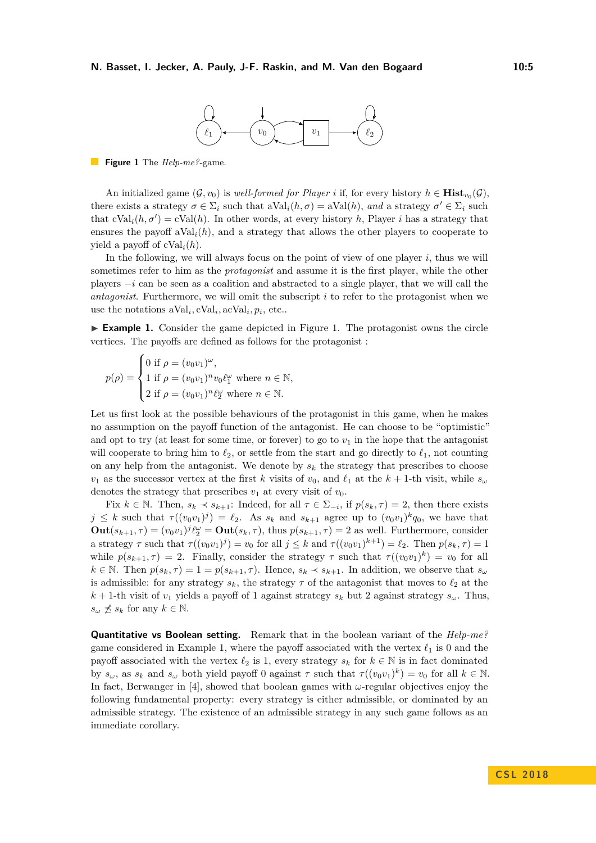

<span id="page-4-1"></span>**Figure 1** The *Help-me?*-game.

An initialized game  $(G, v_0)$  is *well-formed for Player i* if, for every history  $h \in \mathbf{Hist}_{v_0}(G)$ , there exists a strategy  $\sigma \in \Sigma_i$  such that  $aVal_i(h, \sigma) = aVal(h)$ , and a strategy  $\sigma' \in \Sigma_i$  such that  $cVal_i(h, \sigma') = cVal(h)$ . In other words, at every history *h*, Player *i* has a strategy that ensures the payoff  $aVal_i(h)$ , and a strategy that allows the other players to cooperate to yield a payoff of cVal*i*(*h*).

In the following, we will always focus on the point of view of one player *i*, thus we will sometimes refer to him as the *protagonist* and assume it is the first player, while the other players −*i* can be seen as a coalition and abstracted to a single player, that we will call the *antagonist*. Furthermore, we will omit the subscript *i* to refer to the protagonist when we use the notations  $aVal_i$ ,  $cVal_i$ ,  $acVal_i$ ,  $p_i$ , etc...

<span id="page-4-0"></span> $\triangleright$  **Example [1.](#page-4-1)** Consider the game depicted in Figure 1. The protagonist owns the circle vertices. The payoffs are defined as follows for the protagonist :

$$
p(\rho) = \begin{cases} 0 \text{ if } \rho = (v_0 v_1)^{\omega}, \\ 1 \text{ if } \rho = (v_0 v_1)^n v_0 \ell_1^{\omega} \text{ where } n \in \mathbb{N}, \\ 2 \text{ if } \rho = (v_0 v_1)^n \ell_2^{\omega} \text{ where } n \in \mathbb{N}. \end{cases}
$$

Let us first look at the possible behaviours of the protagonist in this game, when he makes no assumption on the payoff function of the antagonist. He can choose to be "optimistic" and opt to try (at least for some time, or forever) to go to  $v_1$  in the hope that the antagonist will cooperate to bring him to  $\ell_2$ , or settle from the start and go directly to  $\ell_1$ , not counting on any help from the antagonist. We denote by  $s_k$  the strategy that prescribes to choose  $v_1$  as the successor vertex at the first *k* visits of  $v_0$ , and  $\ell_1$  at the  $k + 1$ -th visit, while  $s_\omega$ denotes the strategy that prescribes  $v_1$  at every visit of  $v_0$ .

Fix  $k \in \mathbb{N}$ . Then,  $s_k \prec s_{k+1}$ : Indeed, for all  $\tau \in \Sigma_{-i}$ , if  $p(s_k, \tau) = 2$ , then there exists  $j \leq k$  such that  $\tau((v_0v_1)^j) = \ell_2$ . As  $s_k$  and  $s_{k+1}$  agree up to  $(v_0v_1)^k q_0$ , we have that  $\textbf{Out}(s_{k+1}, \tau) = (v_0v_1)^j \ell_2^{\omega} = \textbf{Out}(s_k, \tau)$ , thus  $p(s_{k+1}, \tau) = 2$  as well. Furthermore, consider a strategy  $\tau$  such that  $\tau((v_0v_1)^j) = v_0$  for all  $j \leq k$  and  $\tau((v_0v_1)^{k+1}) = \ell_2$ . Then  $p(s_k, \tau) = 1$ while  $p(s_{k+1}, \tau) = 2$ . Finally, consider the strategy  $\tau$  such that  $\tau((v_0v_1)^k) = v_0$  for all  $k \in \mathbb{N}$ . Then  $p(s_k, \tau) = 1 = p(s_{k+1}, \tau)$ . Hence,  $s_k \prec s_{k+1}$ . In addition, we observe that  $s_\omega$ is admissible: for any strategy  $s_k$ , the strategy  $\tau$  of the antagonist that moves to  $\ell_2$  at the  $k+1$ -th visit of  $v_1$  yields a payoff of 1 against strategy  $s_k$  but 2 against strategy  $s_\omega$ . Thus,  $s_{\omega} \npreceq s_k$  for any  $k \in \mathbb{N}$ .

**Quantitative vs Boolean setting.** Remark that in the boolean variant of the *Help-me?* game considered in Example [1,](#page-4-0) where the payoff associated with the vertex  $\ell_1$  is 0 and the payoff associated with the vertex  $\ell_2$  is 1, every strategy  $s_k$  for  $k \in \mathbb{N}$  is in fact dominated by  $s_\omega$ , as  $s_k$  and  $s_\omega$  both yield payoff 0 against  $\tau$  such that  $\tau((v_0v_1)^k) = v_0$  for all  $k \in \mathbb{N}$ . In fact, Berwanger in [\[4\]](#page-15-3), showed that boolean games with *ω*-regular objectives enjoy the following fundamental property: every strategy is either admissible, or dominated by an admissible strategy. The existence of an admissible strategy in any such game follows as an immediate corollary.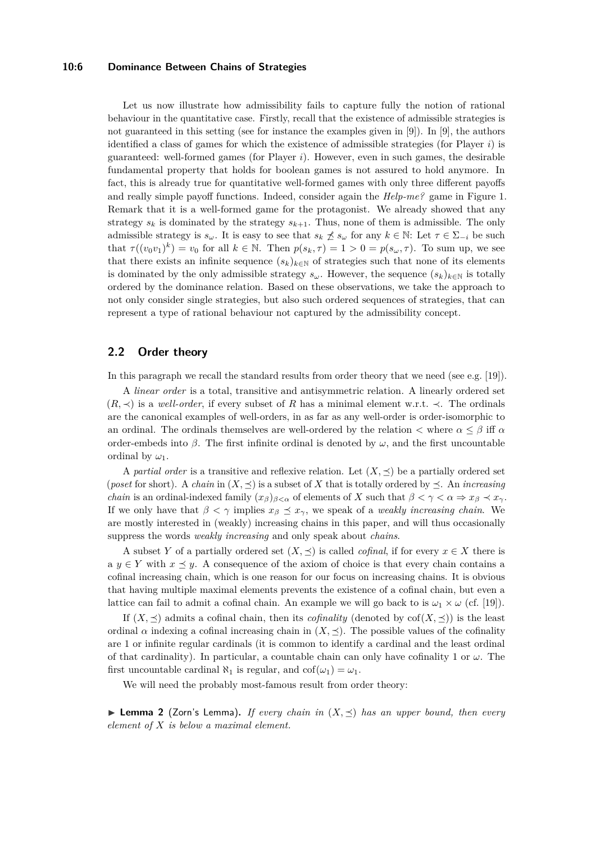## **10:6 Dominance Between Chains of Strategies**

Let us now illustrate how admissibility fails to capture fully the notion of rational behaviour in the quantitative case. Firstly, recall that the existence of admissible strategies is not guaranteed in this setting (see for instance the examples given in [\[9\]](#page-15-4)). In [\[9\]](#page-15-4), the authors identified a class of games for which the existence of admissible strategies (for Player *i*) is guaranteed: well-formed games (for Player *i*). However, even in such games, the desirable fundamental property that holds for boolean games is not assured to hold anymore. In fact, this is already true for quantitative well-formed games with only three different payoffs and really simple payoff functions. Indeed, consider again the *Help-me?* game in Figure [1.](#page-4-1) Remark that it is a well-formed game for the protagonist. We already showed that any strategy  $s_k$  is dominated by the strategy  $s_{k+1}$ . Thus, none of them is admissible. The only admissible strategy is  $s_\omega$ . It is easy to see that  $s_k \npreceq s_\omega$  for any  $k \in \mathbb{N}$ : Let  $\tau \in \Sigma_{-i}$  be such that  $\tau((v_0v_1)^k) = v_0$  for all  $k \in \mathbb{N}$ . Then  $p(s_k, \tau) = 1 > 0 = p(s_\omega, \tau)$ . To sum up, we see that there exists an infinite sequence  $(s_k)_{k \in \mathbb{N}}$  of strategies such that none of its elements is dominated by the only admissible strategy  $s_\omega$ . However, the sequence  $(s_k)_{k\in\mathbb{N}}$  is totally ordered by the dominance relation. Based on these observations, we take the approach to not only consider single strategies, but also such ordered sequences of strategies, that can represent a type of rational behaviour not captured by the admissibility concept.

## **2.2 Order theory**

In this paragraph we recall the standard results from order theory that we need (see e.g. [\[19\]](#page-16-7)).

A *linear order* is a total, transitive and antisymmetric relation. A linearly ordered set  $(R, \prec)$  is a *well-order*, if every subset of R has a minimal element w.r.t.  $\prec$ . The ordinals are the canonical examples of well-orders, in as far as any well-order is order-isomorphic to an ordinal. The ordinals themselves are well-ordered by the relation  $\lt$  where  $\alpha \leq \beta$  iff  $\alpha$ order-embeds into  $\beta$ . The first infinite ordinal is denoted by  $\omega$ , and the first uncountable ordinal by  $\omega_1$ .

A *partial order* is a transitive and reflexive relation. Let  $(X, \preceq)$  be a partially ordered set (*poset* for short). A *chain* in  $(X, \preceq)$  is a subset of X that is totally ordered by  $\preceq$ . An *increasing chain* is an ordinal-indexed family  $(x_\beta)_{\beta<\alpha}$  of elements of *X* such that  $\beta<\gamma<\alpha \Rightarrow x_\beta \prec x_\gamma$ . If we only have that  $\beta < \gamma$  implies  $x_{\beta} \preceq x_{\gamma}$ , we speak of a *weakly increasing chain*. We are mostly interested in (weakly) increasing chains in this paper, and will thus occasionally suppress the words *weakly increasing* and only speak about *chains*.

A subset *Y* of a partially ordered set  $(X, \preceq)$  is called *cofinal*, if for every  $x \in X$  there is a  $y \in Y$  with  $x \preceq y$ . A consequence of the axiom of choice is that every chain contains a cofinal increasing chain, which is one reason for our focus on increasing chains. It is obvious that having multiple maximal elements prevents the existence of a cofinal chain, but even a lattice can fail to admit a cofinal chain. An example we will go back to is  $\omega_1 \times \omega$  (cf. [\[19\]](#page-16-7)).

If  $(X, \preceq)$  admits a cofinal chain, then its *cofinality* (denoted by  $\text{cof}(X, \preceq)$ ) is the least ordinal  $\alpha$  indexing a cofinal increasing chain in  $(X, \preceq)$ . The possible values of the cofinality are 1 or infinite regular cardinals (it is common to identify a cardinal and the least ordinal of that cardinality). In particular, a countable chain can only have cofinality 1 or  $\omega$ . The first uncountable cardinal  $\aleph_1$  is regular, and  $\text{cof}(\omega_1) = \omega_1$ .

We will need the probably most-famous result from order theory:

<span id="page-5-0"></span> $\blacktriangleright$  **Lemma 2** (Zorn's Lemma). If every chain in  $(X, \preceq)$  has an upper bound, then every *element of X is below a maximal element.*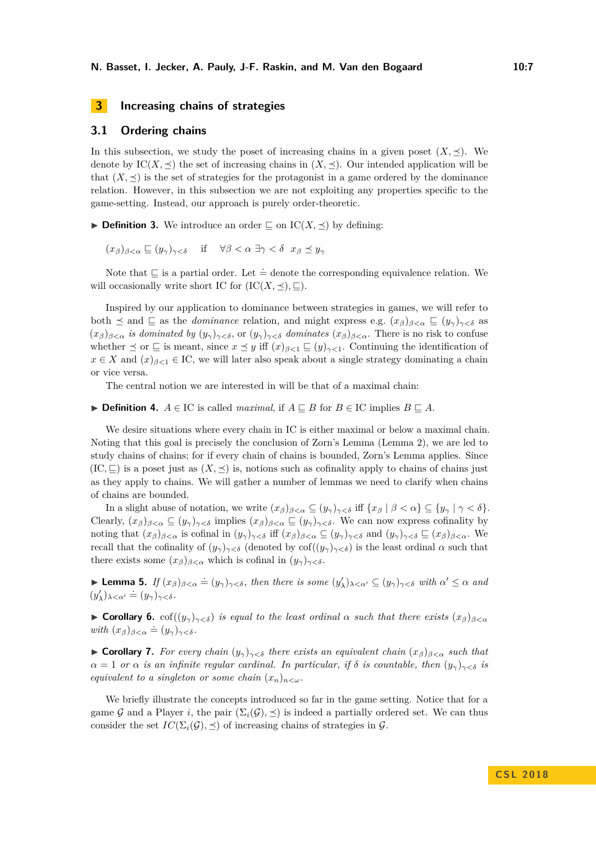# <span id="page-6-2"></span>**3 Increasing chains of strategies**

## <span id="page-6-1"></span>**3.1 Ordering chains**

In this subsection, we study the poset of increasing chains in a given poset  $(X, \preceq)$ . We denote by  $\text{IC}(X, \preceq)$  the set of increasing chains in  $(X, \preceq)$ . Our intended application will be that  $(X, \preceq)$  is the set of strategies for the protagonist in a game ordered by the dominance relation. However, in this subsection we are not exploiting any properties specific to the game-setting. Instead, our approach is purely order-theoretic.

<span id="page-6-0"></span> $\blacktriangleright$  **Definition 3.** We introduce an order  $\sqsubset$  on IC(*X*,  $\prec$ ) by defining:

 $(x_{\beta})_{\beta < \alpha} \subseteq (y_{\gamma})_{\gamma < \delta}$  if  $\forall \beta < \alpha \exists \gamma < \delta \ x_{\beta} \preceq y_{\gamma}$ 

Note that  $\subseteq$  is a partial order. Let  $\doteq$  denote the corresponding equivalence relation. We will occasionally write short IC for  $(IC(X, \preceq), \sqsubseteq)$ .

Inspired by our application to dominance between strategies in games, we will refer to both  $\leq$  and  $\subseteq$  as the *dominance* relation, and might express e.g.  $(x_{\beta})_{\beta < \alpha} \subseteq (y_{\gamma})_{\gamma < \delta}$  as  $(x_{\beta})_{\beta<\alpha}$  *is dominated by*  $(y_{\gamma})_{\gamma<\delta}$ , or  $(y_{\gamma})_{\gamma<\delta}$  *dominates*  $(x_{\beta})_{\beta<\alpha}$ . There is no risk to confuse whether  $\leq$  or  $\subseteq$  is meant, since  $x \leq y$  iff  $(x)_{\beta < 1} \subseteq (y)_{\gamma < 1}$ . Continuing the identification of  $x \in X$  and  $(x)_{\beta < 1} \in \mathcal{IC}$ , we will later also speak about a single strategy dominating a chain or vice versa.

The central notion we are interested in will be that of a maximal chain:

▶ **Definition 4.**  $A \in \mathcal{IC}$  is called *maximal*, if  $A \sqsubseteq B$  for  $B \in \mathcal{IC}$  implies  $B \sqsubseteq A$ .

We desire situations where every chain in IC is either maximal or below a maximal chain. Noting that this goal is precisely the conclusion of Zorn's Lemma (Lemma [2\)](#page-5-0), we are led to study chains of chains; for if every chain of chains is bounded, Zorn's Lemma applies. Since  $(IC, \Box)$  is a poset just as  $(X, \preceq)$  is, notions such as cofinality apply to chains of chains just as they apply to chains. We will gather a number of lemmas we need to clarify when chains of chains are bounded.

In a slight abuse of notation, we write  $(x_\beta)_{\beta<\alpha}\subseteq (y_\gamma)_{\gamma<\delta}$  iff  $\{x_\beta\mid \beta<\alpha\}\subseteq \{y_\gamma\mid \gamma<\delta\}.$ Clearly,  $(x_\beta)_{\beta<\alpha} \subseteq (y_\gamma)_{\gamma<\delta}$  implies  $(x_\beta)_{\beta<\alpha} \subseteq (y_\gamma)_{\gamma<\delta}$ . We can now express cofinality by noting that  $(x_\beta)_{\beta<\alpha}$  is cofinal in  $(y_\gamma)_{\gamma<\delta}$  iff  $(x_\beta)_{\beta<\alpha}\subseteq (y_\gamma)_{\gamma<\delta}$  and  $(y_\gamma)_{\gamma<\delta}\subseteq (x_\beta)_{\beta<\alpha}$ . We recall that the cofinality of  $(y_\gamma)_{\gamma<\delta}$  (denoted by cof $((y_\gamma)_{\gamma<\delta})$  is the least ordinal  $\alpha$  such that there exists some  $(x_\beta)_{\beta < \alpha}$  which is cofinal in  $(y_\gamma)_{\gamma < \delta}$ .

**Lemma 5.** If  $(x_\beta)_{\beta < \alpha} \doteq (y_\gamma)_{\gamma < \delta}$ , then there is some  $(y_\lambda')_{\lambda < \alpha'} \subseteq (y_\gamma)_{\gamma < \delta}$  with  $\alpha' \leq \alpha$  and  $(y'_\lambda)_{\lambda < \alpha'} \doteq (y_\gamma)_{\gamma < \delta}.$ 

**► Corollary 6.** cof( $(y_\gamma)_{\gamma<\delta}$ ) *is equal to the least ordinal*  $\alpha$  *such that there exists*  $(x_\beta)_{\beta<\alpha}$ *with*  $(x_\beta)_{\beta < \alpha} \doteq (y_\gamma)_{\gamma < \delta}$ .

**► Corollary 7.** For every chain  $(y_γ)_{γ ≤ δ}$  there exists an equivalent chain  $(x_β)_{β < α}$  such that  $\alpha = 1$  *or*  $\alpha$  *is an infinite regular cardinal. In particular, if*  $\delta$  *is countable, then*  $(y_{\gamma})_{\gamma < \delta}$  *is equivalent to a singleton or some chain*  $(x_n)_{n \leq \omega}$ *.* 

We briefly illustrate the concepts introduced so far in the game setting. Notice that for a game G and a Player *i*, the pair  $(\Sigma_i(\mathcal{G}), \preceq)$  is indeed a partially ordered set. We can thus consider the set  $IC(\Sigma_i(\mathcal{G}), \preceq)$  of increasing chains of strategies in  $\mathcal{G}$ .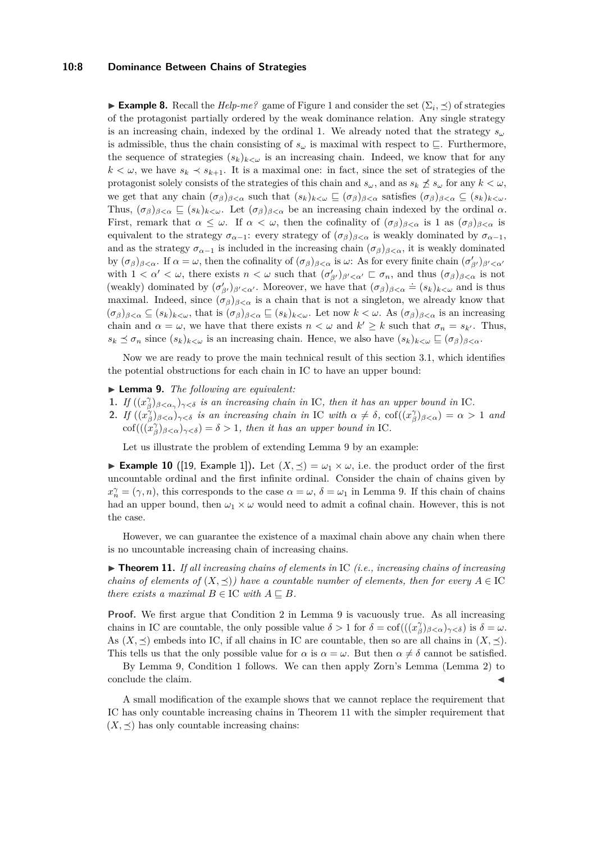## **10:8 Dominance Between Chains of Strategies**

<span id="page-7-3"></span>**Example 8.** Recall the *Help-me?* game of Figure [1](#page-4-1) and consider the set  $(\Sigma_i, \preceq)$  of strategies of the protagonist partially ordered by the weak dominance relation. Any single strategy is an increasing chain, indexed by the ordinal 1. We already noted that the strategy  $s_{\omega}$ is admissible, thus the chain consisting of  $s_\omega$  is maximal with respect to  $\subseteq$ . Furthermore, the sequence of strategies  $(s_k)_{k\lt\omega}$  is an increasing chain. Indeed, we know that for any  $k < \omega$ , we have  $s_k \prec s_{k+1}$ . It is a maximal one: in fact, since the set of strategies of the protagonist solely consists of the strategies of this chain and  $s_\omega$ , and as  $s_k \nleq s_\omega$  for any  $k < \omega$ , we get that any chain  $(\sigma_{\beta})_{\beta<\alpha}$  such that  $(s_k)_{k<\omega}\subseteq(\sigma_{\beta})_{\beta<\alpha}$  satisfies  $(\sigma_{\beta})_{\beta<\alpha}\subseteq(s_k)_{k<\omega}$ . Thus,  $(\sigma_{\beta})_{\beta<\alpha} \subseteq (s_k)_{k<\omega}$ . Let  $(\sigma_{\beta})_{\beta<\alpha}$  be an increasing chain indexed by the ordinal  $\alpha$ . First, remark that  $\alpha \leq \omega$ . If  $\alpha < \omega$ , then the cofinality of  $(\sigma_{\beta})_{\beta < \alpha}$  is 1 as  $(\sigma_{\beta})_{\beta < \alpha}$  is equivalent to the strategy  $\sigma_{\alpha-1}$ : every strategy of  $(\sigma_{\beta})_{\beta<\alpha}$  is weakly dominated by  $\sigma_{\alpha-1}$ , and as the strategy  $\sigma_{\alpha-1}$  is included in the increasing chain  $(\sigma_{\beta})_{\beta<\alpha}$ , it is weakly dominated by  $(\sigma_{\beta})_{\beta < \alpha}$ . If  $\alpha = \omega$ , then the cofinality of  $(\sigma_{\beta})_{\beta < \alpha}$  is  $\omega$ : As for every finite chain  $(\sigma'_{\beta'})_{\beta' < \alpha'}$ with  $1 < \alpha' < \omega$ , there exists  $n < \omega$  such that  $(\sigma'_{\beta'})_{\beta' < \alpha'} \sqsubset \sigma_n$ , and thus  $(\sigma_{\beta})_{\beta < \alpha}$  is not (weakly) dominated by  $(\sigma'_{\beta'})_{\beta' < \alpha'}$ . Moreover, we have that  $(\sigma_{\beta})_{\beta < \alpha} \doteq (s_k)_{k < \omega}$  and is thus maximal. Indeed, since  $(\sigma_{\beta})_{\beta<\alpha}$  is a chain that is not a singleton, we already know that  $(\sigma_{\beta})_{\beta<\alpha} \subseteq (s_k)_{k<\omega}$ , that is  $(\sigma_{\beta})_{\beta<\alpha} \subseteq (s_k)_{k<\omega}$ . Let now  $k<\omega$ . As  $(\sigma_{\beta})_{\beta<\alpha}$  is an increasing chain and  $\alpha = \omega$ , we have that there exists  $n < \omega$  and  $k' \geq k$  such that  $\sigma_n = s_{k'}$ . Thus,  $s_k \preceq \sigma_n$  since  $(s_k)_{k < \omega}$  is an increasing chain. Hence, we also have  $(s_k)_{k < \omega} \sqsubseteq (\sigma_\beta)_{\beta < \alpha}$ .

Now we are ready to prove the main technical result of this section [3.1,](#page-6-1) which identifies the potential obstructions for each chain in IC to have an upper bound:

## <span id="page-7-1"></span>I **Lemma 9.** *The following are equivalent:*

- **1.** *If*  $((x<sub>\beta</sub><sup>\gamma</sup>)<sub>\beta<\alpha<sub>\gamma</sub></sub>)<sub>\gamma<\delta</sub>$  is an increasing chain in IC, then it has an upper bound in IC.
- **2.** *If*  $((x_{\beta}^{\gamma})_{\beta < \alpha})_{\gamma < \delta}$  *is an increasing chain in* IC *with*  $\alpha \neq \delta$ ,  $\text{cof}((x_{\beta}^{\gamma})_{\beta < \alpha}) = \alpha > 1$  *and*  $\mathrm{cof}(((x^{\gamma}_{\beta})_{\beta<\alpha})_{\gamma<\delta})=\delta>1$ , then it has an upper bound in IC.

Let us illustrate the problem of extending Lemma [9](#page-7-1) by an example:

<span id="page-7-2"></span>**Example 10** ([\[19,](#page-16-7) Example 1]). Let  $(X, \preceq) = \omega_1 \times \omega$ , i.e. the product order of the first uncountable ordinal and the first infinite ordinal. Consider the chain of chains given by  $x_n^{\gamma} = (\gamma, n)$ , this corresponds to the case  $\alpha = \omega$ ,  $\delta = \omega_1$  in Lemma [9.](#page-7-1) If this chain of chains had an upper bound, then  $\omega_1 \times \omega$  would need to admit a cofinal chain. However, this is not the case.

However, we can guarantee the existence of a maximal chain above any chain when there is no uncountable increasing chain of increasing chains.

<span id="page-7-0"></span>▶ **Theorem 11.** *If all increasing chains of elements in* IC *(i.e., increasing chains of increasing chains of elements of*  $(X, \preceq)$ *) have a countable number of elements, then for every*  $A \in \mathcal{IC}$ *there exists a maximal*  $B \in \mathcal{IC}$  *with*  $A \subseteq B$ *.* 

**Proof.** We first argue that Condition 2 in Lemma [9](#page-7-1) is vacuously true. As all increasing chains in IC are countable, the only possible value  $\delta > 1$  for  $\delta = \text{cof}(((x_{\beta}^{\gamma})_{\beta < \alpha})_{\gamma < \delta})$  is  $\delta = \omega$ . As  $(X, \preceq)$  embeds into IC, if all chains in IC are countable, then so are all chains in  $(X, \preceq)$ . This tells us that the only possible value for *α* is  $\alpha = \omega$ . But then  $\alpha \neq \delta$  cannot be satisfied.

By Lemma [9,](#page-7-1) Condition 1 follows. We can then apply Zorn's Lemma (Lemma [2\)](#page-5-0) to conclude the claim.

A small modification of the example shows that we cannot replace the requirement that IC has only countable increasing chains in Theorem [11](#page-7-0) with the simpler requirement that  $(X, \preceq)$  has only countable increasing chains: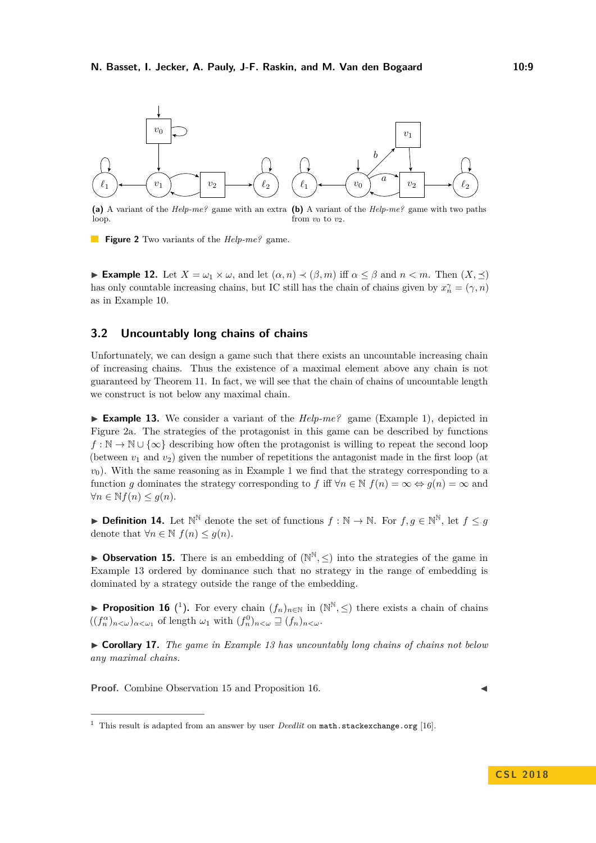<span id="page-8-1"></span>

**(a)** A variant of the *Help-me?* game with an extra loop. **(b)** A variant of the *Help-me?* game with two paths from  $v_0$  to  $v_2$ .

**Figure 2** Two variants of the *Help-me?* game.

**► Example 12.** Let  $X = \omega_1 \times \omega$ , and let  $(\alpha, n) \prec (\beta, m)$  iff  $\alpha \leq \beta$  and  $n < m$ . Then  $(X, \preceq)$ has only countable increasing chains, but IC still has the chain of chains given by  $x_n^{\gamma} = (\gamma, n)$ as in Example [10.](#page-7-2)

## **3.2 Uncountably long chains of chains**

Unfortunately, we can design a game such that there exists an uncountable increasing chain of increasing chains. Thus the existence of a maximal element above any chain is not guaranteed by Theorem [11.](#page-7-0) In fact, we will see that the chain of chains of uncountable length we construct is not below any maximal chain.

<span id="page-8-2"></span>**Example 13.** We consider a variant of the  $Help-me$ ? game (Example [1\)](#page-4-0), depicted in Figure [2a.](#page-8-1) The strategies of the protagonist in this game can be described by functions  $f : \mathbb{N} \to \mathbb{N} \cup \{\infty\}$  describing how often the protagonist is willing to repeat the second loop (between  $v_1$  and  $v_2$ ) given the number of repetitions the antagonist made in the first loop (at  $v<sub>0</sub>$ ). With the same reasoning as in Example [1](#page-4-0) we find that the strategy corresponding to a function *g* dominates the strategy corresponding to *f* iff  $\forall n \in \mathbb{N}$   $f(n) = \infty \Leftrightarrow g(n) = \infty$  and  $∀n ∈ ℕf(n) ≤ g(n).$ 

**► Definition 14.** Let  $\mathbb{N}^{\mathbb{N}}$  denote the set of functions  $f : \mathbb{N} \to \mathbb{N}$ . For  $f, g \in \mathbb{N}^{\mathbb{N}}$ , let  $f \leq g$ denote that  $\forall n \in \mathbb{N}$   $f(n) \leq g(n)$ .

<span id="page-8-4"></span>**Dbservation 15.** There is an embedding of  $(N^N, \leq)$  into the strategies of the game in Example [13](#page-8-2) ordered by dominance such that no strategy in the range of embedding is dominated by a strategy outside the range of the embedding.

<span id="page-8-5"></span>▶ **Proposition [1](#page-8-3)6** (<sup>1</sup>). For every chain  $(f_n)_{n \in \mathbb{N}}$  in  $(\mathbb{N}^{\mathbb{N}}, \leq)$  there exists a chain of chains  $((f_n^{\alpha})_{n<\omega})_{\alpha<\omega_1}$  of length  $\omega_1$  with  $(f_n^0)_{n<\omega}\supseteq (f_n)_{n<\omega}$ .

<span id="page-8-0"></span>I **Corollary 17.** *The game in Example [13](#page-8-2) has uncountably long chains of chains not below any maximal chains.*

**Proof.** Combine Observation [15](#page-8-4) and Proposition [16.](#page-8-5)

<span id="page-8-3"></span><sup>&</sup>lt;sup>1</sup> This result is adapted from an answer by user *Deedlit* on <math.stackexchange.org> [\[16\]](#page-16-8).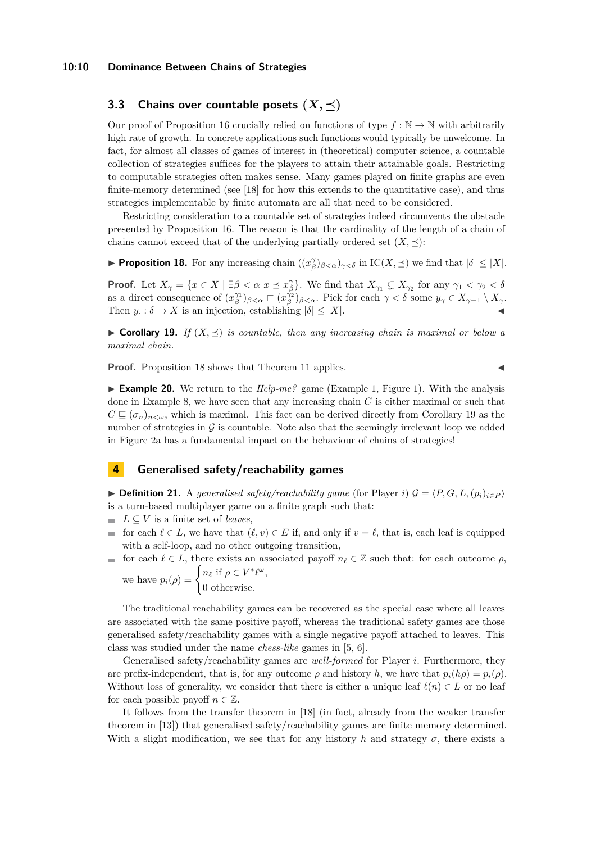#### **10:10 Dominance Between Chains of Strategies**

# **3.3** Chains over countable posets  $(X, \prec)$

Our proof of Proposition [16](#page-8-5) crucially relied on functions of type  $f : \mathbb{N} \to \mathbb{N}$  with arbitrarily high rate of growth. In concrete applications such functions would typically be unwelcome. In fact, for almost all classes of games of interest in (theoretical) computer science, a countable collection of strategies suffices for the players to attain their attainable goals. Restricting to computable strategies often makes sense. Many games played on finite graphs are even finite-memory determined (see [\[18\]](#page-16-9) for how this extends to the quantitative case), and thus strategies implementable by finite automata are all that need to be considered.

Restricting consideration to a countable set of strategies indeed circumvents the obstacle presented by Proposition [16.](#page-8-5) The reason is that the cardinality of the length of a chain of chains cannot exceed that of the underlying partially ordered set  $(X, \preceq)$ :

<span id="page-9-2"></span>**Proposition 18.** For any increasing chain  $((x^{\gamma}_{\beta})_{\beta < \alpha})_{\gamma < \delta}$  in IC(*X*,  $\preceq$ ) we find that  $|\delta| \leq |X|$ .

**Proof.** Let  $X_{\gamma} = \{x \in X \mid \exists \beta < \alpha \ x \preceq x_{\beta}^{\gamma}\}$ . We find that  $X_{\gamma_1} \subsetneq X_{\gamma_2}$  for any  $\gamma_1 < \gamma_2 < \delta$ as a direct consequence of  $(x_\beta^{\gamma_1})_{\beta < \alpha} \subset (x_\beta^{\gamma_2})_{\beta < \alpha}$ . Pick for each  $\gamma < \delta$  some  $y_\gamma \in X_{\gamma+1} \setminus X_\gamma$ . Then  $y: \delta \to X$  is an injection, establishing  $|\delta| \leq |X|$ .

<span id="page-9-0"></span> $\triangleright$  **Corollary 19.** *If*  $(X, \preceq)$  *is countable, then any increasing chain is maximal or below a maximal chain.*

**Proof.** Proposition [18](#page-9-2) shows that Theorem [11](#page-7-0) applies.

**Example 20.** We return to the  $Help-me$ ? game (Example [1,](#page-4-0) Figure [1\)](#page-4-1). With the analysis done in Example [8,](#page-7-3) we have seen that any increasing chain *C* is either maximal or such that  $C \subseteq (\sigma_n)_{n \leq \omega}$ , which is maximal. This fact can be derived directly from Corollary [19](#page-9-0) as the number of strategies in  $\mathcal G$  is countable. Note also that the seemingly irrelevant loop we added in Figure [2a](#page-8-1) has a fundamental impact on the behaviour of chains of strategies!

## **4 Generalised safety/reachability games**

<span id="page-9-1"></span>**► Definition 21.** A generalised safety/reachability game (for Player *i*)  $\mathcal{G} = \langle P, G, L, (p_i)_{i \in P} \rangle$ is a turn-based multiplayer game on a finite graph such that:

- $L \subseteq V$  is a finite set of *leaves*,
- for each  $\ell \in L$ , we have that  $(\ell, v) \in E$  if, and only if  $v = \ell$ , that is, each leaf is equipped m. with a self-loop, and no other outgoing transition,
- for each  $\ell \in L$ , there exists an associated payoff  $n_{\ell} \in \mathbb{Z}$  such that: for each outcome  $\rho$ , we have  $p_i(\rho) = \begin{cases} n_\ell & \text{if } \rho \in V^* \ell^\omega, \\ 0 & \text{if } \ell^\omega. \end{cases}$

0 otherwise.

The traditional reachability games can be recovered as the special case where all leaves are associated with the same positive payoff, whereas the traditional safety games are those generalised safety/reachability games with a single negative payoff attached to leaves. This class was studied under the name *chess-like* games in [\[5,](#page-15-7) [6\]](#page-15-8).

Generalised safety/reachability games are *well-formed* for Player *i*. Furthermore, they are prefix-independent, that is, for any outcome  $\rho$  and history *h*, we have that  $p_i(h\rho) = p_i(\rho)$ . Without loss of generality, we consider that there is either a unique leaf  $\ell(n) \in L$  or no leaf for each possible payoff  $n \in \mathbb{Z}$ .

It follows from the transfer theorem in [\[18\]](#page-16-9) (in fact, already from the weaker transfer theorem in [\[13\]](#page-16-10)) that generalised safety/reachability games are finite memory determined. With a slight modification, we see that for any history *h* and strategy  $\sigma$ , there exists a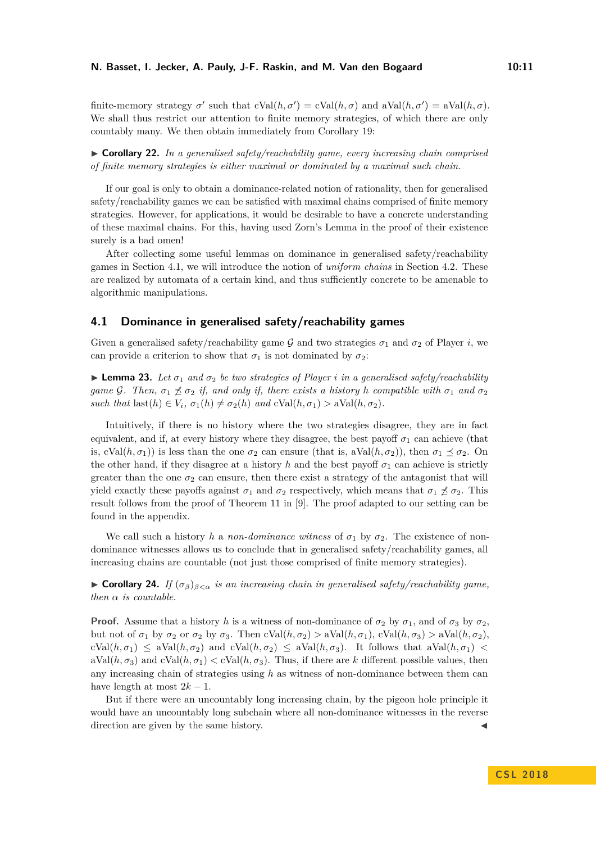finite-memory strategy  $\sigma'$  such that  $cVal(h, \sigma') = cVal(h, \sigma)$  and  $aVal(h, \sigma') = aVal(h, \sigma)$ . We shall thus restrict our attention to finite memory strategies, of which there are only countably many. We then obtain immediately from Corollary [19:](#page-9-0)

I **Corollary 22.** *In a generalised safety/reachability game, every increasing chain comprised of finite memory strategies is either maximal or dominated by a maximal such chain.*

If our goal is only to obtain a dominance-related notion of rationality, then for generalised safety/reachability games we can be satisfied with maximal chains comprised of finite memory strategies. However, for applications, it would be desirable to have a concrete understanding of these maximal chains. For this, having used Zorn's Lemma in the proof of their existence surely is a bad omen!

After collecting some useful lemmas on dominance in generalised safety/reachability games in Section [4.1,](#page-10-0) we will introduce the notion of *uniform chains* in Section [4.2.](#page-11-1) These are realized by automata of a certain kind, and thus sufficiently concrete to be amenable to algorithmic manipulations.

# <span id="page-10-0"></span>**4.1 Dominance in generalised safety/reachability games**

Given a generalised safety/reachability game G and two strategies  $\sigma_1$  and  $\sigma_2$  of Player *i*, we can provide a criterion to show that  $\sigma_1$  is not dominated by  $\sigma_2$ :

<span id="page-10-1"></span>**Lemma 23.** Let  $\sigma_1$  and  $\sigma_2$  be two strategies of Player *i* in a generalised safety/reachability *game* G. Then,  $\sigma_1 \nleq \sigma_2$  *if, and only if, there exists a history h compatible with*  $\sigma_1$  *and*  $\sigma_2$ *such that*  $\text{last}(h) \in V_i$ ,  $\sigma_1(h) \neq \sigma_2(h)$  *and*  $\text{cVal}(h, \sigma_1) > \text{aVal}(h, \sigma_2)$ *.* 

Intuitively, if there is no history where the two strategies disagree, they are in fact equivalent, and if, at every history where they disagree, the best payoff  $\sigma_1$  can achieve (that is, cVal $(h, \sigma_1)$ ) is less than the one  $\sigma_2$  can ensure (that is, aVal $(h, \sigma_2)$ ), then  $\sigma_1 \preceq \sigma_2$ . On the other hand, if they disagree at a history *h* and the best payoff  $\sigma_1$  can achieve is strictly greater than the one  $\sigma_2$  can ensure, then there exist a strategy of the antagonist that will yield exactly these payoffs against  $\sigma_1$  and  $\sigma_2$  respectively, which means that  $\sigma_1 \npreceq \sigma_2$ . This result follows from the proof of Theorem 11 in [\[9\]](#page-15-4). The proof adapted to our setting can be found in the appendix.

We call such a history *h* a *non-dominance witness* of  $\sigma_1$  by  $\sigma_2$ . The existence of nondominance witnesses allows us to conclude that in generalised safety/reachability games, all increasing chains are countable (not just those comprised of finite memory strategies).

 $\triangleright$  **Corollary 24.** *If* (*σ*<sup>*β*</sup>)*β*<α *is an increasing chain in generalised safety/reachability game, then α is countable.*

**Proof.** Assume that a history *h* is a witness of non-dominance of  $\sigma_2$  by  $\sigma_1$ , and of  $\sigma_3$  by  $\sigma_2$ , but not of  $\sigma_1$  by  $\sigma_2$  or  $\sigma_2$  by  $\sigma_3$ . Then  $cVal(h, \sigma_2) > aVal(h, \sigma_1)$ ,  $cVal(h, \sigma_3) > aVal(h, \sigma_2)$ ,  $cVal(h, \sigma_1) \leq aVal(h, \sigma_2)$  and  $cVal(h, \sigma_2) \leq aVal(h, \sigma_3)$ . It follows that  $aVal(h, \sigma_1)$  $aVal(h, \sigma_3)$  and  $cVal(h, \sigma_1) < cVal(h, \sigma_3)$ . Thus, if there are k different possible values, then any increasing chain of strategies using *h* as witness of non-dominance between them can have length at most  $2k - 1$ .

But if there were an uncountably long increasing chain, by the pigeon hole principle it would have an uncountably long subchain where all non-dominance witnesses in the reverse direction are given by the same history.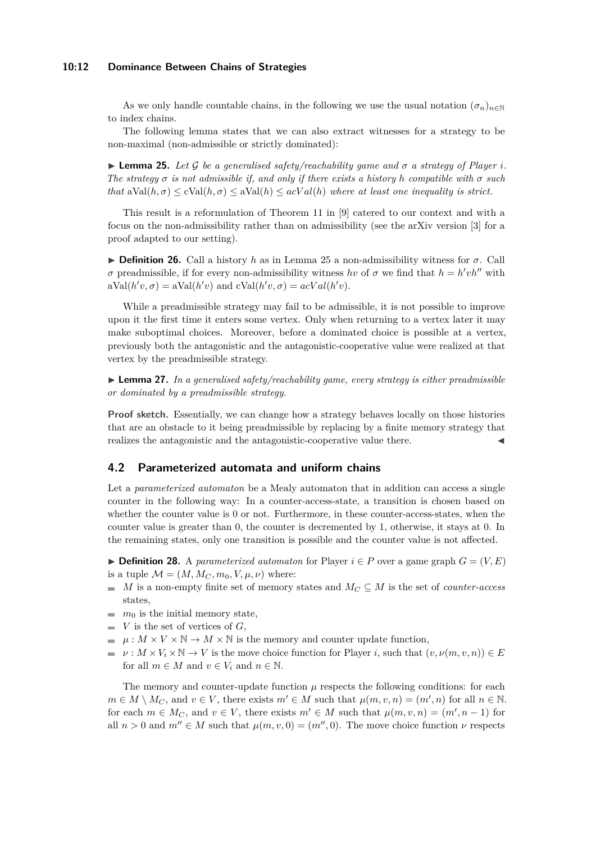#### **10:12 Dominance Between Chains of Strategies**

As we only handle countable chains, in the following we use the usual notation  $(\sigma_n)_{n\in\mathbb{N}}$ to index chains.

The following lemma states that we can also extract witnesses for a strategy to be non-maximal (non-admissible or strictly dominated):

<span id="page-11-2"></span> $\blacktriangleright$  **Lemma 25.** Let G be a generalised safety/reachability game and  $\sigma$  a strategy of Player *i*. *The strategy*  $\sigma$  *is not admissible if, and only if there exists a history h compatible with*  $\sigma$  *such that*  $aVal(h, \sigma) \leq cVal(h, \sigma) \leq aVal(h) \leq acVal(h)$  *where at least one inequality is strict.* 

This result is a reformulation of Theorem 11 in [\[9\]](#page-15-4) catered to our context and with a focus on the non-admissibility rather than on admissibility (see the arXiv version [\[3\]](#page-15-0) for a proof adapted to our setting).

<span id="page-11-4"></span>**Definition 26.** Call a history *h* as in Lemma [25](#page-11-2) a non-admissibility witness for  $\sigma$ . Call *σ* preadmissible, if for every non-admissibility witness *hv* of *σ* we find that  $h = h'vh''$  with  $aVal(h'v, \sigma) = aVal(h'v)$  and  $cVal(h'v, \sigma) = acVal(h'v)$ .

While a preadmissible strategy may fail to be admissible, it is not possible to improve upon it the first time it enters some vertex. Only when returning to a vertex later it may make suboptimal choices. Moreover, before a dominated choice is possible at a vertex, previously both the antagonistic and the antagonistic-cooperative value were realized at that vertex by the preadmissible strategy.

<span id="page-11-3"></span> $\blacktriangleright$  **Lemma 27.** In a generalised safety/reachability game, every strategy is either preadmissible *or dominated by a preadmissible strategy.*

**Proof sketch.** Essentially, we can change how a strategy behaves locally on those histories that are an obstacle to it being preadmissible by replacing by a finite memory strategy that realizes the antagonistic and the antagonistic-cooperative value there.

## <span id="page-11-1"></span>**4.2 Parameterized automata and uniform chains**

Let a *parameterized automaton* be a Mealy automaton that in addition can access a single counter in the following way: In a counter-access-state, a transition is chosen based on whether the counter value is 0 or not. Furthermore, in these counter-access-states, when the counter value is greater than 0, the counter is decremented by 1, otherwise, it stays at 0. In the remaining states, only one transition is possible and the counter value is not affected.

<span id="page-11-0"></span>**► Definition 28.** A *parameterized automaton* for Player  $i \in P$  over a game graph  $G = (V, E)$ is a tuple  $\mathcal{M} = (M, M_C, m_0, V, \mu, \nu)$  where:

- $M$  is a non-empty finite set of memory states and  $M_C \subseteq M$  is the set of *counter-access* states,
- $m_0$  is the initial memory state,
- *V* is the set of vertices of *G*,  $\blacksquare$
- $\mu: M \times V \times \mathbb{N} \to M \times \mathbb{N}$  is the memory and counter update function,
- $\nu: M \times V_i \times \mathbb{N} \to V$  is the move choice function for Player *i*, such that  $(v, \nu(m, v, n)) \in E$ for all  $m \in M$  and  $v \in V_i$  and  $n \in \mathbb{N}$ .

The memory and counter-update function  $\mu$  respects the following conditions: for each  $m \in M \setminus M_C$ , and  $v \in V$ , there exists  $m' \in M$  such that  $\mu(m, v, n) = (m', n)$  for all  $n \in \mathbb{N}$ . for each  $m \in M_C$ , and  $v \in V$ , there exists  $m' \in M$  such that  $\mu(m, v, n) = (m', n - 1)$  for all  $n > 0$  and  $m'' \in M$  such that  $\mu(m, v, 0) = (m'', 0)$ . The move choice function  $\nu$  respects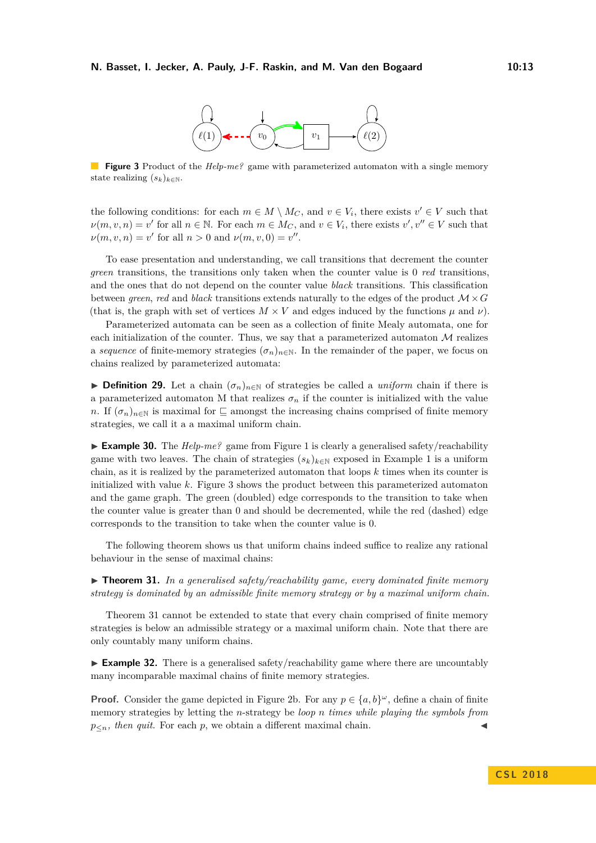

<span id="page-12-1"></span>**Figure 3** Product of the *Help-me?* game with parameterized automaton with a single memory state realizing  $(s_k)_{k \in \mathbb{N}}$ .

the following conditions: for each  $m \in M \setminus M_C$ , and  $v \in V_i$ , there exists  $v' \in V$  such that  $\nu(m, v, n) = v'$  for all  $n \in \mathbb{N}$ . For each  $m \in M_C$ , and  $v \in V_i$ , there exists  $v', v'' \in V$  such that  $\nu(m, v, n) = v'$  for all  $n > 0$  and  $\nu(m, v, 0) = v''$ .

To ease presentation and understanding, we call transitions that decrement the counter *green* transitions, the transitions only taken when the counter value is 0 *red* transitions, and the ones that do not depend on the counter value *black* transitions. This classification between *green*, *red* and *black* transitions extends naturally to the edges of the product M ×*G* (that is, the graph with set of vertices  $M \times V$  and edges induced by the functions  $\mu$  and  $\nu$ ).

Parameterized automata can be seen as a collection of finite Mealy automata, one for each initialization of the counter. Thus, we say that a parameterized automaton  $\mathcal M$  realizes a *sequence* of finite-memory strategies  $(\sigma_n)_{n \in \mathbb{N}}$ . In the remainder of the paper, we focus on chains realized by parameterized automata:

**► Definition 29.** Let a chain  $(\sigma_n)_{n \in \mathbb{N}}$  of strategies be called a *uniform* chain if there is a parameterized automaton M that realizes  $\sigma_n$  if the counter is initialized with the value *n*. If  $(\sigma_n)_{n\in\mathbb{N}}$  is maximal for  $\sqsubseteq$  amongst the increasing chains comprised of finite memory strategies, we call it a a maximal uniform chain.

**Example 30.** The  $Heb-me$ ? game from Figure [1](#page-4-1) is clearly a generalised safety/reachability game with two leaves. The chain of strategies  $(s_k)_{k\in\mathbb{N}}$  exposed in Example [1](#page-4-0) is a uniform chain, as it is realized by the parameterized automaton that loops *k* times when its counter is initialized with value *k*. Figure [3](#page-12-1) shows the product between this parameterized automaton and the game graph. The green (doubled) edge corresponds to the transition to take when the counter value is greater than 0 and should be decremented, while the red (dashed) edge corresponds to the transition to take when the counter value is 0.

The following theorem shows us that uniform chains indeed suffice to realize any rational behaviour in the sense of maximal chains:

<span id="page-12-0"></span>► **Theorem 31.** In a generalised safety/reachability game, every dominated finite memory *strategy is dominated by an admissible finite memory strategy or by a maximal uniform chain.*

Theorem [31](#page-12-0) cannot be extended to state that every chain comprised of finite memory strategies is below an admissible strategy or a maximal uniform chain. Note that there are only countably many uniform chains.

► **Example 32.** There is a generalised safety/reachability game where there are uncountably many incomparable maximal chains of finite memory strategies.

**Proof.** Consider the game depicted in Figure [2b.](#page-8-1) For any  $p \in \{a, b\}^{\omega}$ , define a chain of finite memory strategies by letting the *n*-strategy be *loop n times while playing the symbols from*  $p_{\leq n}$ *, then quit.* For each  $p$ , we obtain a different maximal chain.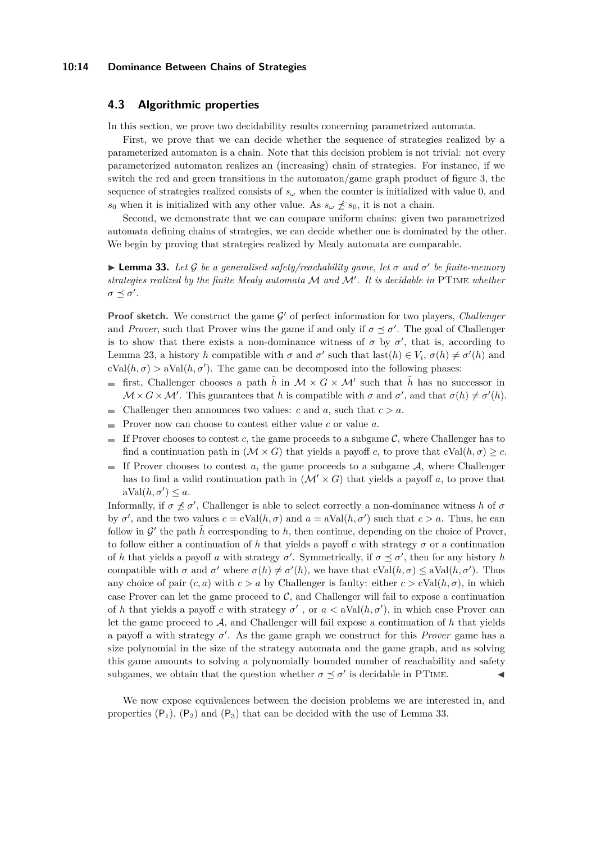#### **10:14 Dominance Between Chains of Strategies**

## <span id="page-13-0"></span>**4.3 Algorithmic properties**

In this section, we prove two decidability results concerning parametrized automata.

First, we prove that we can decide whether the sequence of strategies realized by a parameterized automaton is a chain. Note that this decision problem is not trivial: not every parameterized automaton realizes an (increasing) chain of strategies. For instance, if we switch the red and green transitions in the automaton/game graph product of figure [3,](#page-12-1) the sequence of strategies realized consists of  $s_\omega$  when the counter is initialized with value 0, and *s*<sub>0</sub> when it is initialized with any other value. As  $s_\omega \not\preceq s_0$ , it is not a chain.

Second, we demonstrate that we can compare uniform chains: given two parametrized automata defining chains of strategies, we can decide whether one is dominated by the other. We begin by proving that strategies realized by Mealy automata are comparable.

<span id="page-13-1"></span>**Lemma 33.** Let G be a generalised safety/reachability game, let  $\sigma$  and  $\sigma'$  be finite-memory *strategies realized by the finite Mealy automata* M *and* M<sup>0</sup> *. It is decidable in* PTime *whether*  $\sigma \preceq \sigma'.$ 

**Proof sketch.** We construct the game  $\mathcal{G}'$  of perfect information for two players, *Challenger* and *Prover*, such that Prover wins the game if and only if  $\sigma \preceq \sigma'$ . The goal of Challenger is to show that there exists a non-dominance witness of  $\sigma$  by  $\sigma'$ , that is, according to Lemma [23,](#page-10-1) a history *h* compatible with  $\sigma$  and  $\sigma'$  such that  $\text{last}(h) \in V_i$ ,  $\sigma(h) \neq \sigma'(h)$  and  $cVal(h, \sigma) > aVal(h, \sigma')$ . The game can be decomposed into the following phases:

- first, Challenger chooses a path  $\tilde{h}$  in  $\mathcal{M} \times G \times \mathcal{M}'$  such that  $\tilde{h}$  has no successor in and i  $\mathcal{M} \times \mathcal{G} \times \mathcal{M}'$ . This guarantees that *h* is compatible with  $\sigma$  and  $\sigma'$ , and that  $\sigma(h) \neq \sigma'(h)$ .
- Challenger then announces two values: *c* and *a*, such that  $c > a$ .  $\blacksquare$
- Prover now can choose to contest either value *c* or value *a*.  $\equiv$
- If Prover chooses to contest  $c$ , the game proceeds to a subgame  $\mathcal{C}$ , where Challenger has to m. find a continuation path in  $(M \times G)$  that yields a payoff *c*, to prove that  $cVal(h, \sigma) \geq c$ .
- If Prover chooses to contest  $a$ , the game proceeds to a subgame  $A$ , where Challenger has to find a valid continuation path in  $(\mathcal{M}' \times G)$  that yields a payoff a, to prove that  $aVal(h, \sigma') \leq a.$

Informally, if  $\sigma \not\preceq \sigma'$ , Challenger is able to select correctly a non-dominance witness *h* of  $\sigma$ by  $\sigma'$ , and the two values  $c = cVal(h, \sigma)$  and  $a = aVal(h, \sigma')$  such that  $c > a$ . Thus, he can follow in  $\mathcal{G}'$  the path  $\tilde{h}$  corresponding to h, then continue, depending on the choice of Prover, to follow either a continuation of *h* that yields a payoff *c* with strategy *σ* or a continuation of *h* that yields a payoff *a* with strategy  $\sigma'$ . Symmetrically, if  $\sigma \preceq \sigma'$ , then for any history *h* compatible with  $\sigma$  and  $\sigma'$  where  $\sigma(h) \neq \sigma'(h)$ , we have that  $cVal(h, \sigma) \leq aVal(h, \sigma')$ . Thus any choice of pair  $(c, a)$  with  $c > a$  by Challenger is faulty: either  $c > cVal(h, \sigma)$ , in which case Prover can let the game proceed to  $C$ , and Challenger will fail to expose a continuation of *h* that yields a payoff *c* with strategy  $\sigma'$ , or  $a <$  aVal $(h, \sigma')$ , in which case Prover can let the game proceed to A, and Challenger will fail expose a continuation of *h* that yields a payoff *a* with strategy  $\sigma'$ . As the game graph we construct for this *Prover* game has a size polynomial in the size of the strategy automata and the game graph, and as solving this game amounts to solving a polynomially bounded number of reachability and safety subgames, we obtain that the question whether  $\sigma \preceq \sigma'$  is decidable in PTIME.

We now expose equivalences between the decision problems we are interested in, and properties  $(P_1)$ ,  $(P_2)$  and  $(P_3)$  that can be decided with the use of Lemma [33.](#page-13-1)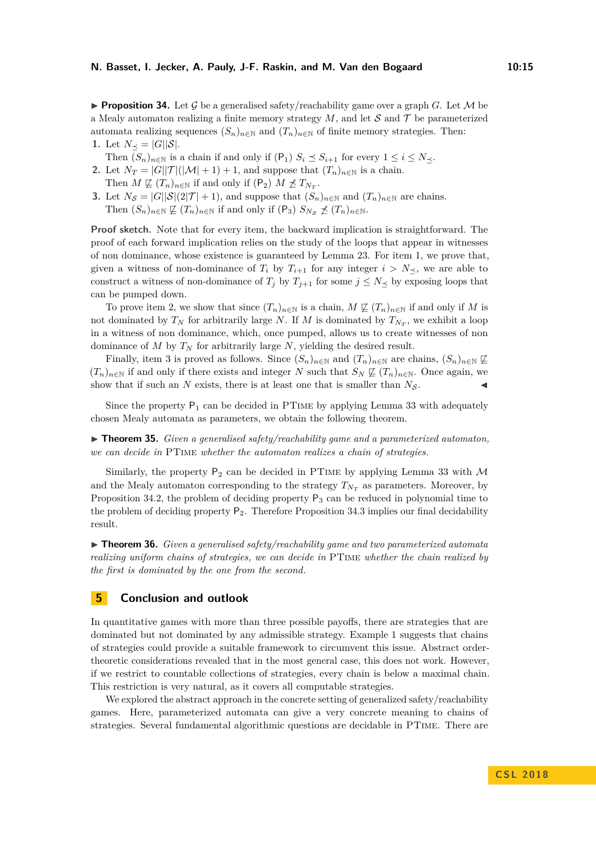<span id="page-14-5"></span>**Proposition 34.** Let G be a generalised safety/reachability game over a graph G. Let M be a Mealy automaton realizing a finite memory strategy  $M$ , and let  $S$  and  $T$  be parameterized automata realizing sequences  $(S_n)_{n\in\mathbb{N}}$  and  $(T_n)_{n\in\mathbb{N}}$  of finite memory strategies. Then: **1.** Let  $N_{\prec} = |G||S|$ .

- <span id="page-14-2"></span>Then  $(S_n)_{n \in \mathbb{N}}$  is a chain if and only if  $(P_1)$   $S_i \preceq S_{i+1}$  for every  $1 \leq i \leq N_{\preceq}$ .
- <span id="page-14-3"></span>**2.** Let  $N_T = |G||T|(|\mathcal{M}| + 1) + 1$ , and suppose that  $(T_n)_{n \in \mathbb{N}}$  is a chain. Then  $M \not\sqsubseteq (T_n)_{n \in \mathbb{N}}$  if and only if  $(P_2) M \not\preceq T_{N_T}$ .
- <span id="page-14-4"></span>**3.** Let  $N_{\mathcal{S}} = |G||\mathcal{S}|(2|\mathcal{T}|+1)$ , and suppose that  $(S_n)_{n\in\mathbb{N}}$  and  $(T_n)_{n\in\mathbb{N}}$  are chains. Then  $(S_n)_{n\in\mathbb{N}} \not\sqsubseteq (T_n)_{n\in\mathbb{N}}$  if and only if  $(P_3)$   $S_{N_S} \not\preceq (T_n)_{n\in\mathbb{N}}$ .

**Proof sketch.** Note that for every item, the backward implication is straightforward. The proof of each forward implication relies on the study of the loops that appear in witnesses of non dominance, whose existence is guaranteed by Lemma [23.](#page-10-1) For item [1,](#page-14-2) we prove that, given a witness of non-dominance of  $T_i$  by  $T_{i+1}$  for any integer  $i > N_{\preceq}$ , we are able to construct a witness of non-dominance of  $T_j$  by  $T_{j+1}$  for some  $j \leq N$  by exposing loops that can be pumped down.

To prove item [2,](#page-14-3) we show that since  $(T_n)_{n\in\mathbb{N}}$  is a chain,  $M \not\subseteq (T_n)_{n\in\mathbb{N}}$  if and only if M is not dominated by  $T_N$  for arbitrarily large *N*. If *M* is dominated by  $T_{N_T}$ , we exhibit a loop in a witness of non dominance, which, once pumped, allows us to create witnesses of non dominance of *M* by  $T_N$  for arbitrarily large *N*, yielding the desired result.

Finally, item [3](#page-14-4) is proved as follows. Since  $(S_n)_{n\in\mathbb{N}}$  and  $(T_n)_{n\in\mathbb{N}}$  are chains,  $(S_n)_{n\in\mathbb{N}}\not\subseteq$  $(T_n)_{n \in \mathbb{N}}$  if and only if there exists and integer *N* such that  $S_N \not\subseteq (T_n)_{n \in \mathbb{N}}$ . Once again, we show that if such an  $N$  exists, there is at least one that is smaller than  $N_S$ .

Since the property  $P_1$  can be decided in PTIME by applying Lemma [33](#page-13-1) with adequately chosen Mealy automata as parameters, we obtain the following theorem.

<span id="page-14-0"></span> $\triangleright$  **Theorem 35.** *Given a generalised safety/reachability game and a parameterized automaton, we can decide in* PTime *whether the automaton realizes a chain of strategies.*

Similarly, the property  $P_2$  can be decided in PTIME by applying Lemma [33](#page-13-1) with  $\mathcal M$ and the Mealy automaton corresponding to the strategy  $T_{N_T}$  as parameters. Moreover, by Proposition [34](#page-14-5)[.2,](#page-14-3) the problem of deciding property  $P_3$  can be reduced in polynomial time to the problem of deciding property  $P_2$ . Therefore Proposition [34.](#page-14-5)[3](#page-14-4) implies our final decidability result.

<span id="page-14-1"></span>► **Theorem 36.** *Given a generalised safety/reachability game and two parameterized automata realizing uniform chains of strategies, we can decide in* PTime *whether the chain realized by the first is dominated by the one from the second.*

## **5 Conclusion and outlook**

In quantitative games with more than three possible payoffs, there are strategies that are dominated but not dominated by any admissible strategy. Example [1](#page-4-0) suggests that chains of strategies could provide a suitable framework to circumvent this issue. Abstract ordertheoretic considerations revealed that in the most general case, this does not work. However, if we restrict to countable collections of strategies, every chain is below a maximal chain. This restriction is very natural, as it covers all computable strategies.

We explored the abstract approach in the concrete setting of generalized safety/reachability games. Here, parameterized automata can give a very concrete meaning to chains of strategies. Several fundamental algorithmic questions are decidable in PTime. There are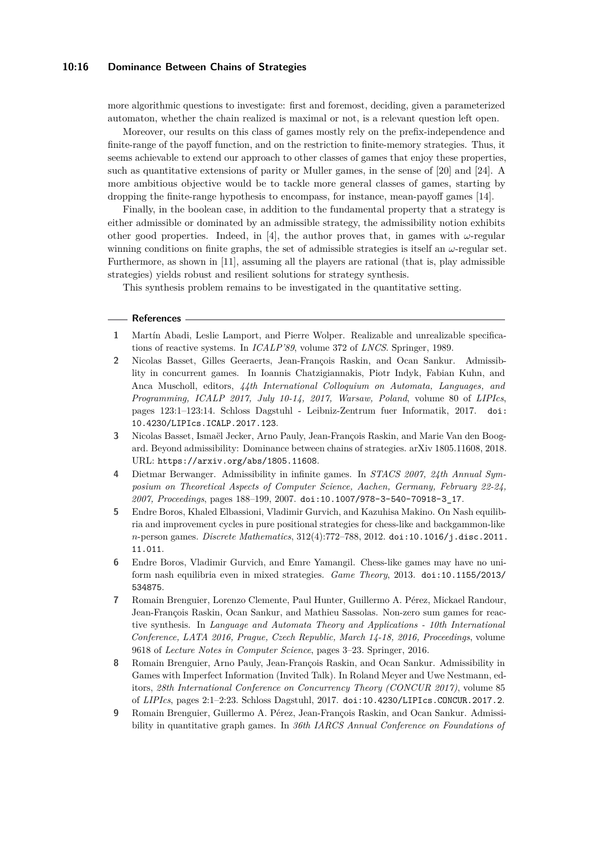## **10:16 Dominance Between Chains of Strategies**

more algorithmic questions to investigate: first and foremost, deciding, given a parameterized automaton, whether the chain realized is maximal or not, is a relevant question left open.

Moreover, our results on this class of games mostly rely on the prefix-independence and finite-range of the payoff function, and on the restriction to finite-memory strategies. Thus, it seems achievable to extend our approach to other classes of games that enjoy these properties, such as quantitative extensions of parity or Muller games, in the sense of [\[20\]](#page-16-11) and [\[24\]](#page-16-12). A more ambitious objective would be to tackle more general classes of games, starting by dropping the finite-range hypothesis to encompass, for instance, mean-payoff games [\[14\]](#page-16-13).

Finally, in the boolean case, in addition to the fundamental property that a strategy is either admissible or dominated by an admissible strategy, the admissibility notion exhibits other good properties. Indeed, in [\[4\]](#page-15-3), the author proves that, in games with  $\omega$ -regular winning conditions on finite graphs, the set of admissible strategies is itself an *ω*-regular set. Furthermore, as shown in [\[11\]](#page-16-14), assuming all the players are rational (that is, play admissible strategies) yields robust and resilient solutions for strategy synthesis.

This synthesis problem remains to be investigated in the quantitative setting.

#### **References**

- <span id="page-15-1"></span>**1** Martín Abadi, Leslie Lamport, and Pierre Wolper. Realizable and unrealizable specifications of reactive systems. In *ICALP'89*, volume 372 of *LNCS*. Springer, 1989.
- <span id="page-15-5"></span>**2** Nicolas Basset, Gilles Geeraerts, Jean-François Raskin, and Ocan Sankur. Admissiblity in concurrent games. In Ioannis Chatzigiannakis, Piotr Indyk, Fabian Kuhn, and Anca Muscholl, editors, *44th International Colloquium on Automata, Languages, and Programming, ICALP 2017, July 10-14, 2017, Warsaw, Poland*, volume 80 of *LIPIcs*, pages 123:1–123:14. Schloss Dagstuhl - Leibniz-Zentrum fuer Informatik, 2017. [doi:](http://dx.doi.org/10.4230/LIPIcs.ICALP.2017.123) [10.4230/LIPIcs.ICALP.2017.123](http://dx.doi.org/10.4230/LIPIcs.ICALP.2017.123).
- <span id="page-15-0"></span>**3** Nicolas Basset, Ismaël Jecker, Arno Pauly, Jean-François Raskin, and Marie Van den Boogard. Beyond admissibility: Dominance between chains of strategies. arXiv 1805.11608, 2018. URL: <https://arxiv.org/abs/1805.11608>.
- <span id="page-15-3"></span>**4** Dietmar Berwanger. Admissibility in infinite games. In *STACS 2007, 24th Annual Symposium on Theoretical Aspects of Computer Science, Aachen, Germany, February 22-24, 2007, Proceedings*, pages 188–199, 2007. [doi:10.1007/978-3-540-70918-3\\_17](http://dx.doi.org/10.1007/978-3-540-70918-3_17).
- <span id="page-15-7"></span>**5** Endre Boros, Khaled Elbassioni, Vladimir Gurvich, and Kazuhisa Makino. On Nash equilibria and improvement cycles in pure positional strategies for chess-like and backgammon-like *n*-person games. *Discrete Mathematics*, 312(4):772–788, 2012. [doi:10.1016/j.disc.2011.](http://dx.doi.org/10.1016/j.disc.2011.11.011) [11.011](http://dx.doi.org/10.1016/j.disc.2011.11.011).
- <span id="page-15-8"></span>**6** Endre Boros, Vladimir Gurvich, and Emre Yamangil. Chess-like games may have no uniform nash equilibria even in mixed strategies. *Game Theory*, 2013. [doi:10.1155/2013/](http://dx.doi.org/10.1155/2013/534875) [534875](http://dx.doi.org/10.1155/2013/534875).
- <span id="page-15-2"></span>**7** Romain Brenguier, Lorenzo Clemente, Paul Hunter, Guillermo A. Pérez, Mickael Randour, Jean-François Raskin, Ocan Sankur, and Mathieu Sassolas. Non-zero sum games for reactive synthesis. In *Language and Automata Theory and Applications - 10th International Conference, LATA 2016, Prague, Czech Republic, March 14-18, 2016, Proceedings*, volume 9618 of *Lecture Notes in Computer Science*, pages 3–23. Springer, 2016.
- <span id="page-15-6"></span>**8** Romain Brenguier, Arno Pauly, Jean-François Raskin, and Ocan Sankur. Admissibility in Games with Imperfect Information (Invited Talk). In Roland Meyer and Uwe Nestmann, editors, *28th International Conference on Concurrency Theory (CONCUR 2017)*, volume 85 of *LIPIcs*, pages 2:1–2:23. Schloss Dagstuhl, 2017. [doi:10.4230/LIPIcs.CONCUR.2017.2](http://dx.doi.org/10.4230/LIPIcs.CONCUR.2017.2).
- <span id="page-15-4"></span>**9** Romain Brenguier, Guillermo A. Pérez, Jean-François Raskin, and Ocan Sankur. Admissibility in quantitative graph games. In *36th IARCS Annual Conference on Foundations of*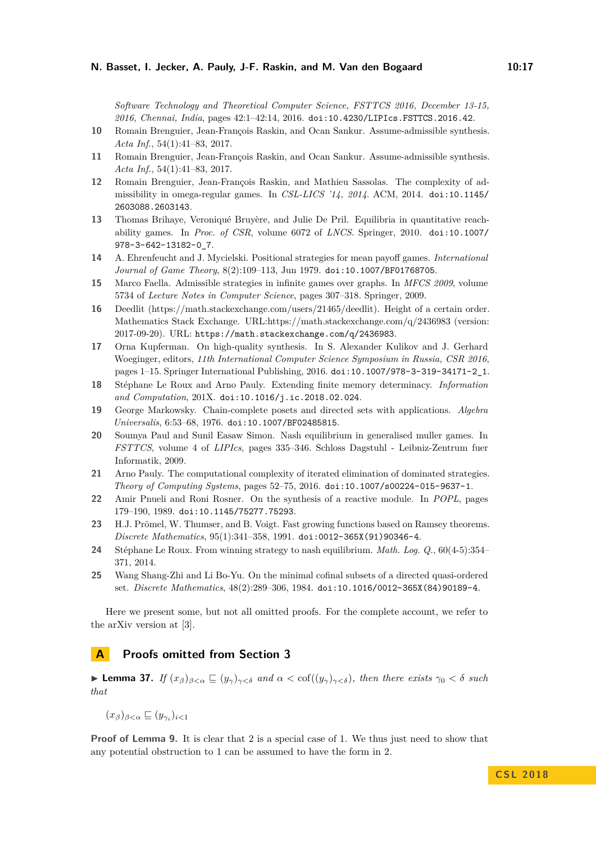*Software Technology and Theoretical Computer Science, FSTTCS 2016, December 13-15, 2016, Chennai, India*, pages 42:1–42:14, 2016. [doi:10.4230/LIPIcs.FSTTCS.2016.42](http://dx.doi.org/10.4230/LIPIcs.FSTTCS.2016.42).

- <span id="page-16-3"></span>**10** Romain Brenguier, Jean-François Raskin, and Ocan Sankur. Assume-admissible synthesis. *Acta Inf.*, 54(1):41–83, 2017.
- <span id="page-16-14"></span>**11** Romain Brenguier, Jean-François Raskin, and Ocan Sankur. Assume-admissible synthesis. *Acta Inf.*, 54(1):41–83, 2017.
- <span id="page-16-2"></span>**12** Romain Brenguier, Jean-François Raskin, and Mathieu Sassolas. The complexity of admissibility in omega-regular games. In *CSL-LICS '14, 2014*. ACM, 2014. [doi:10.1145/](http://dx.doi.org/10.1145/2603088.2603143) [2603088.2603143](http://dx.doi.org/10.1145/2603088.2603143).
- <span id="page-16-10"></span>**13** Thomas Brihaye, Veroniqué Bruyère, and Julie De Pril. Equilibria in quantitative reachability games. In *Proc. of CSR*, volume 6072 of *LNCS*. Springer, 2010. [doi:10.1007/](http://dx.doi.org/10.1007/978-3-642-13182-0_7) [978-3-642-13182-0\\_7](http://dx.doi.org/10.1007/978-3-642-13182-0_7).
- <span id="page-16-13"></span>**14** A. Ehrenfeucht and J. Mycielski. Positional strategies for mean payoff games. *International Journal of Game Theory*, 8(2):109–113, Jun 1979. [doi:10.1007/BF01768705](http://dx.doi.org/10.1007/BF01768705).
- <span id="page-16-4"></span>**15** Marco Faella. Admissible strategies in infinite games over graphs. In *MFCS 2009*, volume 5734 of *Lecture Notes in Computer Science*, pages 307–318. Springer, 2009.
- <span id="page-16-8"></span>**16** Deedlit (https://math.stackexchange.com/users/21465/deedlit). Height of a certain order. Mathematics Stack Exchange. URL:https://math.stackexchange.com/q/2436983 (version: 2017-09-20). URL: <https://math.stackexchange.com/q/2436983>.
- <span id="page-16-1"></span>**17** Orna Kupferman. On high-quality synthesis. In S. Alexander Kulikov and J. Gerhard Woeginger, editors, *11th International Computer Science Symposium in Russia, CSR 2016*, pages 1–15. Springer International Publishing, 2016. [doi:10.1007/978-3-319-34171-2\\_1](http://dx.doi.org/10.1007/978-3-319-34171-2_1).
- <span id="page-16-9"></span>**18** Stéphane Le Roux and Arno Pauly. Extending finite memory determinacy. *Information and Computation*, 201X. [doi:10.1016/j.ic.2018.02.024](http://dx.doi.org/10.1016/j.ic.2018.02.024).
- <span id="page-16-7"></span>**19** George Markowsky. Chain-complete posets and directed sets with applications. *Algebra Universalis*, 6:53–68, 1976. [doi:10.1007/BF02485815](http://dx.doi.org/10.1007/BF02485815).
- <span id="page-16-11"></span>**20** Soumya Paul and Sunil Easaw Simon. Nash equilibrium in generalised muller games. In *FSTTCS*, volume 4 of *LIPIcs*, pages 335–346. Schloss Dagstuhl - Leibniz-Zentrum fuer Informatik, 2009.
- <span id="page-16-5"></span>**21** Arno Pauly. The computational complexity of iterated elimination of dominated strategies. *Theory of Computing Systems*, pages 52–75, 2016. [doi:10.1007/s00224-015-9637-1](http://dx.doi.org/10.1007/s00224-015-9637-1).
- <span id="page-16-0"></span>**22** Amir Pnueli and Roni Rosner. On the synthesis of a reactive module. In *POPL*, pages 179–190, 1989. [doi:10.1145/75277.75293](http://dx.doi.org/10.1145/75277.75293).
- <span id="page-16-16"></span>**23** H.J. Prömel, W. Thumser, and B. Voigt. Fast growing functions based on Ramsey theorems. *Discrete Mathematics*, 95(1):341–358, 1991. [doi:0012-365X\(91\)90346-4](http://dx.doi.org/0012-365X(91)90346-4).
- <span id="page-16-12"></span>**24** Stéphane Le Roux. From winning strategy to nash equilibrium. *Math. Log. Q.*, 60(4-5):354– 371, 2014.
- <span id="page-16-6"></span>**25** Wang Shang-Zhi and Li Bo-Yu. On the minimal cofinal subsets of a directed quasi-ordered set. *Discrete Mathematics*, 48(2):289–306, 1984. [doi:10.1016/0012-365X\(84\)90189-4](http://dx.doi.org/10.1016/0012-365X(84)90189-4).

Here we present some, but not all omitted proofs. For the complete account, we refer to the arXiv version at [\[3\]](#page-15-0).

# **A Proofs omitted from Section [3](#page-6-2)**

<span id="page-16-15"></span>**► Lemma 37.** *If*  $(x_\beta)_{\beta < \alpha}$   $\subseteq (y_\gamma)_{\gamma < \delta}$  and  $\alpha < \text{cof}((y_\gamma)_{\gamma < \delta})$ , then there exists  $\gamma_0 < \delta$  such *that*

$$
(x_{\beta})_{\beta<\alpha}\sqsubseteq (y_{\gamma_i})_{i<1}
$$

**Proof of Lemma [9.](#page-7-1)** It is clear that 2 is a special case of 1. We thus just need to show that any potential obstruction to 1 can be assumed to have the form in 2.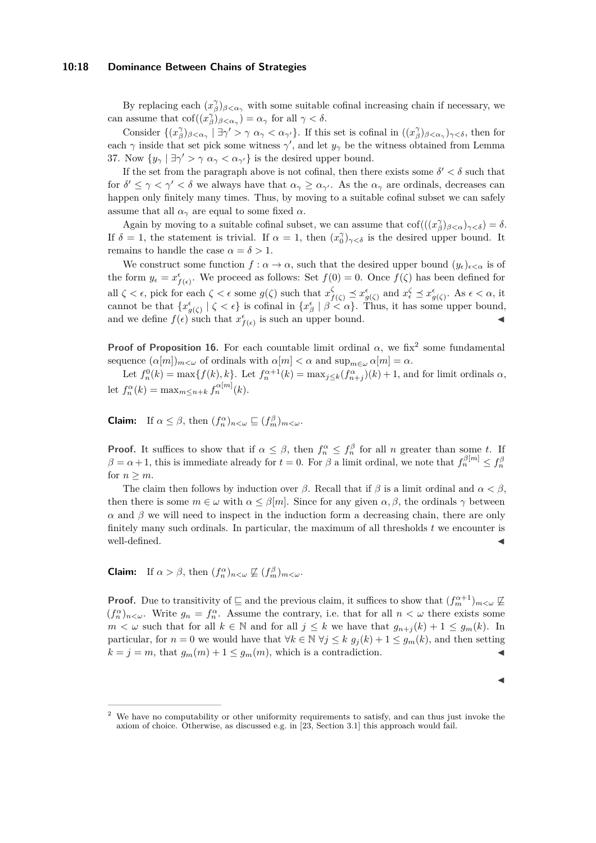#### **10:18 Dominance Between Chains of Strategies**

By replacing each  $(x^{\gamma}_{\beta})_{\beta < \alpha_{\gamma}}$  with some suitable cofinal increasing chain if necessary, we can assume that  $\text{cof}((x_{\beta}^{\gamma})_{\beta < \alpha_{\gamma}}) = \alpha_{\gamma}$  for all  $\gamma < \delta$ .

Consider  $\{(x^{\gamma}_{\beta})_{\beta<\alpha_{\gamma}}\mid \exists \gamma'>\gamma \alpha_{\gamma}<\alpha_{\gamma'}\}$ . If this set is cofinal in  $((x^{\gamma}_{\beta})_{\beta<\alpha_{\gamma}})_{\gamma<\delta}$ , then for each  $\gamma$  inside that set pick some witness  $\gamma'$ , and let  $y_{\gamma}$  be the witness obtained from Lemma [37.](#page-16-15) Now  $\{y_{\gamma} \mid \exists \gamma' > \gamma \alpha_{\gamma} < \alpha_{\gamma'}\}$  is the desired upper bound.

If the set from the paragraph above is not cofinal, then there exists some  $\delta' < \delta$  such that for  $\delta' \leq \gamma < \gamma' < \delta$  we always have that  $\alpha_{\gamma} \geq \alpha_{\gamma'}$ . As the  $\alpha_{\gamma}$  are ordinals, decreases can happen only finitely many times. Thus, by moving to a suitable cofinal subset we can safely assume that all  $\alpha_{\gamma}$  are equal to some fixed  $\alpha$ .

Again by moving to a suitable cofinal subset, we can assume that  $\text{cof}(((x_{\beta}^{\gamma})_{\beta<\alpha})_{\gamma<\delta})=\delta$ . If  $\delta = 1$ , the statement is trivial. If  $\alpha = 1$ , then  $(x_0)_{\gamma < \delta}$  is the desired upper bound. It remains to handle the case  $\alpha = \delta > 1$ .

We construct some function  $f : \alpha \to \alpha$ , such that the desired upper bound  $(y_{\epsilon})_{\epsilon < \alpha}$  is of the form  $y_{\epsilon} = x_{f(\epsilon)}^{\epsilon}$ . We proceed as follows: Set  $f(0) = 0$ . Once  $f(\zeta)$  has been defined for all  $\zeta < \epsilon$ , pick for each  $\zeta < \epsilon$  some  $g(\zeta)$  such that  $x_{f(\zeta)}^{\zeta} \preceq x_{g(\zeta)}^{\epsilon}$  and  $x_{\epsilon}^{\zeta} \preceq x_{g(\zeta)}^{\epsilon}$ . As  $\epsilon < \alpha$ , it cannot be that  $\{x^{\epsilon}_{g}(\zeta) \mid \zeta < \epsilon\}$  is cofinal in  $\{x^{\epsilon}_{\beta} \mid \beta < \alpha\}$ . Thus, it has some upper bound, and we define  $f(\epsilon)$  such that  $x^{\epsilon}_{f(\epsilon)}$  is such an upper bound.

**Proof of Proposition [16.](#page-8-5)** For each countable limit ordinal  $\alpha$ , we fix<sup>[2](#page-17-0)</sup> some fundamental sequence  $(\alpha[m])_{m < \omega}$  of ordinals with  $\alpha[m] < \alpha$  and  $\sup_{m \in \omega} \alpha[m] = \alpha$ .

Let  $f_n^0(k) = \max\{f(k), k\}$ . Let  $f_n^{\alpha+1}(k) = \max_{j \le k} (f_{n+j}^{\alpha})(k) + 1$ , and for limit ordinals  $\alpha$ , let  $f_n^{\alpha}(k) = \max_{m \le n+k} f_n^{\alpha[m]}(k)$ .

**Claim:** If  $\alpha \leq \beta$ , then  $(f_n^{\alpha})_{n < \omega} \sqsubseteq (f_m^{\beta})_{m < \omega}$ .

**Proof.** It suffices to show that if  $\alpha \leq \beta$ , then  $f_n^{\alpha} \leq f_n^{\beta}$  for all *n* greater than some *t*. If  $\beta = \alpha + 1$ , this is immediate already for  $t = 0$ . For  $\beta$  a limit ordinal, we note that  $f_n^{\beta[m]} \le f_n^{\beta[m]}$ for  $n > m$ .

The claim then follows by induction over *β*. Recall that if  $\beta$  is a limit ordinal and  $\alpha < \beta$ , then there is some  $m \in \omega$  with  $\alpha \leq \beta[m]$ . Since for any given  $\alpha, \beta$ , the ordinals  $\gamma$  between  $\alpha$  and  $\beta$  we will need to inspect in the induction form a decreasing chain, there are only finitely many such ordinals. In particular, the maximum of all thresholds *t* we encounter is well-defined.

**Claim:** If  $\alpha > \beta$ , then  $(f_n^{\alpha})_{n < \omega} \not\sqsubseteq (f_m^{\beta})_{m < \omega}$ .

**Proof.** Due to transitivity of  $\subseteq$  and the previous claim, it suffices to show that  $(f_m^{\alpha+1})_{m<\omega} \not\sqsubseteq$  $(f_n^{\alpha})_{n<\omega}$ . Write  $g_n = f_n^{\alpha}$ . Assume the contrary, i.e. that for all  $n<\omega$  there exists some *m* < *ω* such that for all *k* ∈ N and for all *j* ≤ *k* we have that  $g_{n+j}(k) + 1 \le g_m(k)$ . In particular, for  $n = 0$  we would have that  $\forall k \in \mathbb{N}$   $\forall j \leq k$   $g_j(k) + 1 \leq g_m(k)$ , and then setting  $k = j = m$ , that  $g_m(m) + 1 \leq g_m(m)$ , which is a contradiction.

| × |
|---|
|   |
|   |

<span id="page-17-0"></span><sup>2</sup> We have no computability or other uniformity requirements to satisfy, and can thus just invoke the axiom of choice. Otherwise, as discussed e.g. in [\[23,](#page-16-16) Section 3.1] this approach would fail.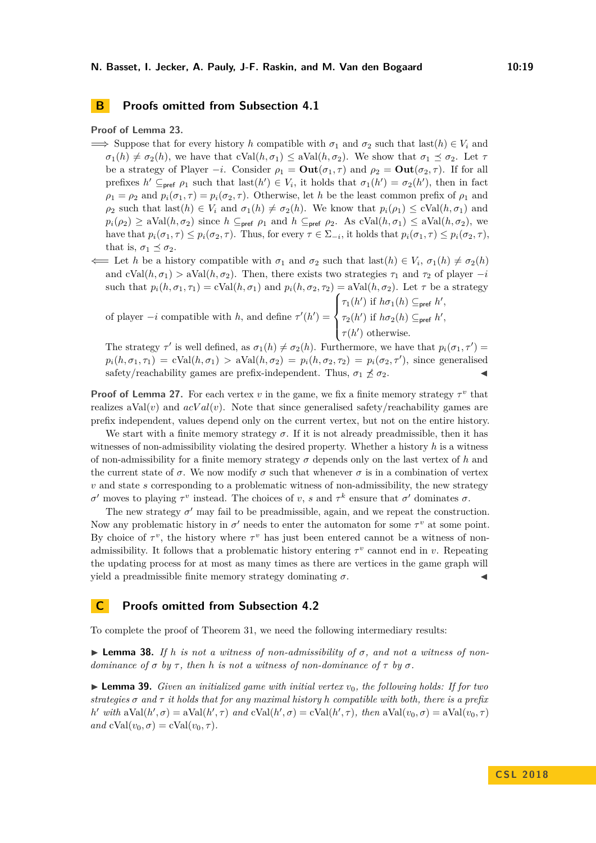# **B Proofs omitted from Subsection [4.1](#page-10-0)**

## **Proof of Lemma [23.](#page-10-1)**

- $\implies$  Suppose that for every history *h* compatible with  $\sigma_1$  and  $\sigma_2$  such that last(*h*)  $\in V_i$  and  $\sigma_1(h) \neq \sigma_2(h)$ , we have that  $cVal(h, \sigma_1) \leq aVal(h, \sigma_2)$ . We show that  $\sigma_1 \preceq \sigma_2$ . Let  $\tau$ be a strategy of Player  $-i$ . Consider  $\rho_1 = \text{Out}(\sigma_1, \tau)$  and  $\rho_2 = \text{Out}(\sigma_2, \tau)$ . If for all prefixes  $h' \subseteq_{\text{pref}} \rho_1$  such that last $(h') \in V_i$ , it holds that  $\sigma_1(h') = \sigma_2(h')$ , then in fact  $\rho_1 = \rho_2$  and  $p_i(\sigma_1, \tau) = p_i(\sigma_2, \tau)$ . Otherwise, let *h* be the least common prefix of  $\rho_1$  and  $\rho_2$  such that last( $h$ )  $\in V_i$  and  $\sigma_1(h) \neq \sigma_2(h)$ . We know that  $p_i(\rho_1) \leq c \text{Val}(h, \sigma_1)$  and  $p_i(\rho_2) \geq \text{aVal}(h, \sigma_2)$  since  $h \subseteq_{\text{pref}} \rho_1$  and  $h \subseteq_{\text{pref}} \rho_2$ . As cVal $(h, \sigma_1) \leq \text{aVal}(h, \sigma_2)$ , we have that  $p_i(\sigma_1, \tau) \leq p_i(\sigma_2, \tau)$ . Thus, for every  $\tau \in \Sigma_{-i}$ , it holds that  $p_i(\sigma_1, \tau) \leq p_i(\sigma_2, \tau)$ , that is,  $\sigma_1 \preceq \sigma_2$ .
- $\Leftarrow$  Let *h* be a history compatible with  $\sigma_1$  and  $\sigma_2$  such that last(*h*)  $\in V_i$ ,  $\sigma_1(h) \neq \sigma_2(h)$ and  $cVal(h, \sigma_1) > aVal(h, \sigma_2)$ . Then, there exists two strategies  $\tau_1$  and  $\tau_2$  of player  $-i$ such that  $p_i(h, \sigma_1, \tau_1) = \text{cVal}(h, \sigma_1)$  and  $p_i(h, \sigma_2, \tau_2) = \text{aVal}(h, \sigma_2)$ . Let  $\tau$  be a strategy

of player 
$$
-i
$$
 compatible with  $h$ , and define  $\tau'(h') = \begin{cases} \tau_1(h') & \text{if } h\sigma_1(h) \subseteq_{\text{pref}} h', \\ \tau_2(h') & \text{if } h\sigma_2(h) \subseteq_{\text{pref}} h', \\ \tau(h') & \text{otherwise.} \end{cases}$ 

The strategy  $\tau'$  is well defined, as  $\sigma_1(h) \neq \sigma_2(h)$ . Furthermore, we have that  $p_i(\sigma_1, \tau') =$  $p_i(h, \sigma_1, \tau_1) = \text{cVal}(h, \sigma_1) > \text{aVal}(h, \sigma_2) = p_i(h, \sigma_2, \tau_2) = p_i(\sigma_2, \tau')$ , since generalised safety/reachability games are prefix-independent. Thus,  $\sigma_1 \npreceq \sigma_2$ .

**Proof of Lemma [27.](#page-11-3)** For each vertex *v* in the game, we fix a finite memory strategy  $\tau^v$  that realizes  $aVal(v)$  and  $acVal(v)$ . Note that since generalised safety/reachability games are prefix independent, values depend only on the current vertex, but not on the entire history.

We start with a finite memory strategy  $\sigma$ . If it is not already preadmissible, then it has witnesses of non-admissibility violating the desired property. Whether a history *h* is a witness of non-admissibility for a finite memory strategy  $\sigma$  depends only on the last vertex of  $h$  and the current state of  $\sigma$ . We now modify  $\sigma$  such that whenever  $\sigma$  is in a combination of vertex *v* and state *s* corresponding to a problematic witness of non-admissibility, the new strategy *σ*<sup>*σ*</sup> moves to playing *τ*<sup>*v*</sup> instead. The choices of *v*, *s* and *τ*<sup>*k*</sup> ensure that *σ*<sup>'</sup> dominates *σ*.

The new strategy  $\sigma'$  may fail to be preadmissible, again, and we repeat the construction. Now any problematic history in  $\sigma'$  needs to enter the automaton for some  $\tau^v$  at some point. By choice of  $\tau^v$ , the history where  $\tau^v$  has just been entered cannot be a witness of nonadmissibility. It follows that a problematic history entering  $\tau^v$  cannot end in *v*. Repeating the updating process for at most as many times as there are vertices in the game graph will yield a preadmissible finite memory strategy dominating  $\sigma$ .

## **C Proofs omitted from Subsection [4.2](#page-11-1)**

To complete the proof of Theorem [31,](#page-12-0) we need the following intermediary results:

<span id="page-18-1"></span> $\triangleright$  **Lemma 38.** *If h is not a witness of non-admissibility of*  $\sigma$ *, and not a witness of nondominance of*  $\sigma$  *by*  $\tau$ , *then h is not a witness of non-dominance of*  $\tau$  *by*  $\sigma$ *.* 

<span id="page-18-0"></span> $\triangleright$  **Lemma 39.** *Given an initialized game with initial vertex*  $v_0$ *, the following holds: If for two strategies σ and τ it holds that for any maximal history h compatible with both, there is a prefix h*' *with*  $aVal(h', \sigma) = aVal(h', \tau)$  *and*  $cVal(h', \sigma) = cVal(h', \tau)$ *, then*  $aVal(v_0, \sigma) = aVal(v_0, \tau)$  $and \ cVal(v_0, \sigma) = cVal(v_0, \tau).$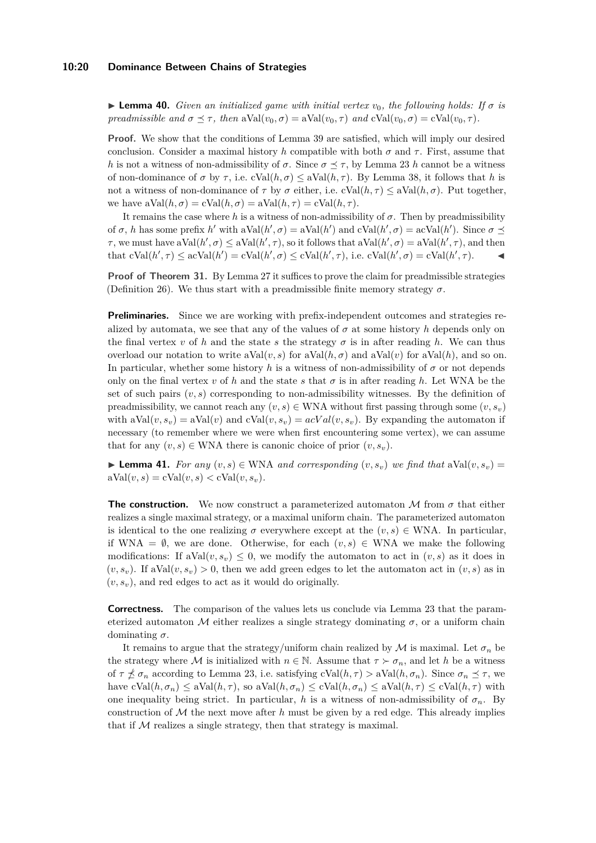#### **10:20 Dominance Between Chains of Strategies**

<span id="page-19-0"></span> $\triangleright$  **Lemma 40.** *Given an initialized game with initial vertex*  $v_0$ , the following holds: If  $\sigma$  is *preadmissible and*  $\sigma \preceq \tau$ , *then*  $aVal(v_0, \sigma) = aVal(v_0, \tau)$  *and*  $cVal(v_0, \sigma) = cVal(v_0, \tau)$ *.* 

**Proof.** We show that the conditions of Lemma [39](#page-18-0) are satisfied, which will imply our desired conclusion. Consider a maximal history *h* compatible with both  $\sigma$  and  $\tau$ . First, assume that *h* is not a witness of non-admissibility of *σ*. Since  $\sigma \leq \tau$ , by Lemma [23](#page-10-1) *h* cannot be a witness of non-dominance of  $\sigma$  by  $\tau$ , i.e.  $cVal(h, \sigma) \leq aVal(h, \tau)$ . By Lemma [38,](#page-18-1) it follows that *h* is not a witness of non-dominance of  $\tau$  by  $\sigma$  either, i.e.  $\text{cVal}(h, \tau) \leq \text{aVal}(h, \sigma)$ . Put together, we have  $aVal(h, \sigma) = cVal(h, \sigma) = aVal(h, \tau) = cVal(h, \tau)$ .

It remains the case where *h* is a witness of non-admissibility of *σ*. Then by preadmissibility of  $\sigma$ , *h* has some prefix *h*' with aVal $(h', \sigma) = aVal(h')$  and  $cVal(h', \sigma) = acVal(h')$ . Since  $\sigma \preceq$ *τ*, we must have  $aVal(h', \sigma) \leq aVal(h', \tau)$ , so it follows that  $aVal(h', \sigma) = aVal(h', \tau)$ , and then  $\text{that } \text{cVal}(h', \tau) \leq \text{acVal}(h') = \text{cVal}(h', \sigma) \leq \text{cVal}(h', \tau), \text{ i.e. } \text{cVal}(h', \sigma) = \text{cVal}(h', \tau).$ 

**Proof of Theorem [31.](#page-12-0)** By Lemma [27](#page-11-3) it suffices to prove the claim for preadmissible strategies (Definition [26\)](#page-11-4). We thus start with a preadmissible finite memory strategy  $\sigma$ .

**Preliminaries.** Since we are working with prefix-independent outcomes and strategies realized by automata, we see that any of the values of  $\sigma$  at some history h depends only on the final vertex *v* of *h* and the state *s* the strategy  $\sigma$  is in after reading *h*. We can thus overload our notation to write  $aVal(v, s)$  for  $aVal(h, \sigma)$  and  $aVal(v)$  for  $aVal(h)$ , and so on. In particular, whether some history h is a witness of non-admissibility of  $\sigma$  or not depends only on the final vertex *v* of *h* and the state *s* that  $\sigma$  is in after reading *h*. Let WNA be the set of such pairs  $(v, s)$  corresponding to non-admissibility witnesses. By the definition of preadmissibility, we cannot reach any  $(v, s) \in$  WNA without first passing through some  $(v, s_v)$ with  $aVal(v, s_v) = aVal(v)$  and  $cVal(v, s_v) = acVal(v, s_v)$ . By expanding the automaton if necessary (to remember where we were when first encountering some vertex), we can assume that for any  $(v, s) \in$  WNA there is canonic choice of prior  $(v, s_v)$ .

▶ **Lemma 41.** *For any*  $(v, s) \in$  WNA *and corresponding*  $(v, s_v)$  *we find that*  $aVal(v, s_v) =$  $aVal(v, s) = cVal(v, s) < cVal(v, s_v)$ .

**The construction.** We now construct a parameterized automaton M from  $\sigma$  that either realizes a single maximal strategy, or a maximal uniform chain. The parameterized automaton is identical to the one realizing  $\sigma$  everywhere except at the  $(v, s) \in$  WNA. In particular, if WNA =  $\emptyset$ , we are done. Otherwise, for each  $(v, s) \in WNA$  we make the following modifications: If  $aVal(v, s_v) \leq 0$ , we modify the automaton to act in  $(v, s)$  as it does in  $(v, s_v)$ . If aVal $(v, s_v) > 0$ , then we add green edges to let the automaton act in  $(v, s)$  as in  $(v, s_v)$ , and red edges to act as it would do originally.

**Correctness.** The comparison of the values lets us conclude via Lemma [23](#page-10-1) that the parameterized automaton M either realizes a single strategy dominating  $\sigma$ , or a uniform chain dominating *σ*.

It remains to argue that the strategy/uniform chain realized by  $\mathcal M$  is maximal. Let  $\sigma_n$  be the strategy where M is initialized with  $n \in \mathbb{N}$ . Assume that  $\tau > \sigma_n$ , and let *h* be a witness of  $\tau \npreceq \sigma_n$  according to Lemma [23,](#page-10-1) i.e. satisfying  $cVal(h, \tau) > aVal(h, \sigma_n)$ . Since  $\sigma_n \preceq \tau$ , we have  $cVal(h, \sigma_n) \leq aVal(h, \tau)$ , so  $aVal(h, \sigma_n) \leq cVal(h, \sigma_n) \leq aVal(h, \tau) \leq cVal(h, \tau)$  with one inequality being strict. In particular, *h* is a witness of non-admissibility of  $\sigma_n$ . By construction of  $M$  the next move after  $h$  must be given by a red edge. This already implies that if  $M$  realizes a single strategy, then that strategy is maximal.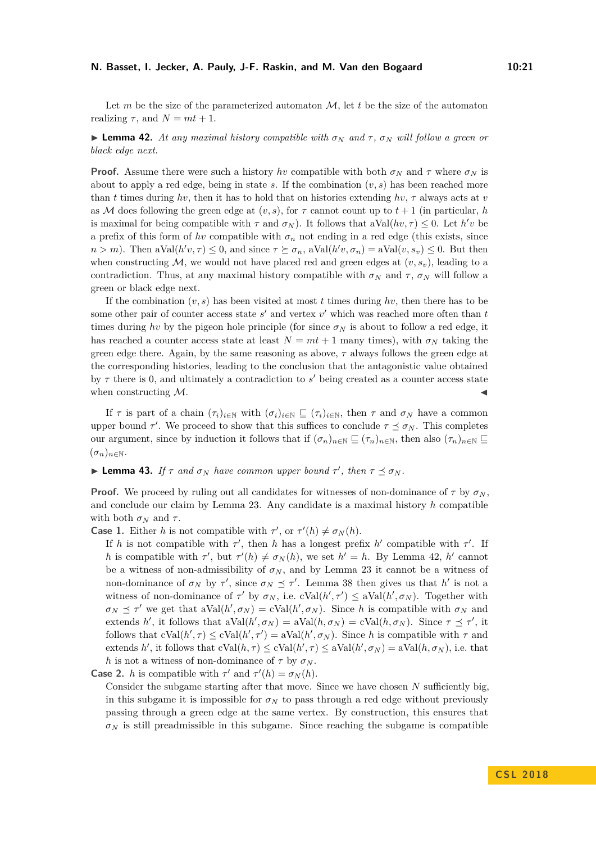#### **N. Basset, I. Jecker, A. Pauly, J-F. Raskin, and M. Van den Bogaard 10:21**

Let  $m$  be the size of the parameterized automaton  $M$ , let  $t$  be the size of the automaton realizing  $\tau$ , and  $N = mt + 1$ .

## <span id="page-20-0"></span>**I Lemma 42.** At any maximal history compatible with  $\sigma_N$  and  $\tau$ ,  $\sigma_N$  will follow a green or *black edge next.*

**Proof.** Assume there were such a history *hv* compatible with both  $\sigma_N$  and  $\tau$  where  $\sigma_N$  is about to apply a red edge, being in state *s*. If the combination (*v, s*) has been reached more than *t* times during *hv*, then it has to hold that on histories extending *hv*, *τ* always acts at *v* as M does following the green edge at  $(v, s)$ , for  $\tau$  cannot count up to  $t + 1$  (in particular, *h* is maximal for being compatible with  $\tau$  and  $\sigma_N$ ). It follows that  $aVal(hv, \tau) \leq 0$ . Let  $h'v$  be a prefix of this form of *hv* compatible with  $\sigma_n$  not ending in a red edge (this exists, since  $n > m$ ). Then  $aVal(h'v, \tau) \leq 0$ , and since  $\tau \succeq \sigma_n$ ,  $aVal(h'v, \sigma_n) = aVal(v, s_v) \leq 0$ . But then when constructing  $M$ , we would not have placed red and green edges at  $(v, s_v)$ , leading to a contradiction. Thus, at any maximal history compatible with  $\sigma_N$  and  $\tau$ ,  $\sigma_N$  will follow a green or black edge next.

If the combination  $(v, s)$  has been visited at most t times during hv, then there has to be some other pair of counter access state  $s'$  and vertex  $v'$  which was reached more often than  $t$ times during *hv* by the pigeon hole principle (for since  $\sigma_N$  is about to follow a red edge, it has reached a counter access state at least  $N = mt + 1$  many times), with  $\sigma_N$  taking the green edge there. Again, by the same reasoning as above, *τ* always follows the green edge at the corresponding histories, leading to the conclusion that the antagonistic value obtained by  $\tau$  there is 0, and ultimately a contradiction to  $s'$  being created as a counter access state when constructing  $M$ .

If  $\tau$  is part of a chain  $(\tau_i)_{i\in\mathbb{N}}$  with  $(\sigma_i)_{i\in\mathbb{N}}\subseteq (\tau_i)_{i\in\mathbb{N}}$ , then  $\tau$  and  $\sigma_N$  have a common upper bound  $\tau'$ . We proceed to show that this suffices to conclude  $\tau \preceq \sigma_N$ . This completes our argument, since by induction it follows that if  $(\sigma_n)_{n\in\mathbb{N}} \subseteq (\tau_n)_{n\in\mathbb{N}}$ , then also  $(\tau_n)_{n\in\mathbb{N}} \subseteq$  $(\sigma_n)_{n\in\mathbb{N}}$ .

# $\blacktriangleright$  **Lemma 43.** *If*  $\tau$  *and*  $\sigma_N$  *have common upper bound*  $\tau'$ *, then*  $\tau \preceq \sigma_N$ *.*

**Proof.** We proceed by ruling out all candidates for witnesses of non-dominance of  $\tau$  by  $\sigma_N$ , and conclude our claim by Lemma [23.](#page-10-1) Any candidate is a maximal history *h* compatible with both  $\sigma_N$  and  $\tau$ .

**Case 1.** Either *h* is not compatible with  $\tau'$ , or  $\tau'(h) \neq \sigma_N(h)$ .

If *h* is not compatible with  $\tau'$ , then *h* has a longest prefix *h*' compatible with  $\tau'$ . If *h* is compatible with  $\tau'$ , but  $\tau'(h) \neq \sigma_N(h)$ , we set  $h' = h$ . By Lemma [42,](#page-20-0) *h*<sup> $\prime$ </sup> cannot be a witness of non-admissibility of  $\sigma_N$ , and by Lemma [23](#page-10-1) it cannot be a witness of non-dominance of  $\sigma_N$  by  $\tau'$ , since  $\sigma_N \preceq \tau'$ . Lemma [38](#page-18-1) then gives us that  $h'$  is not a witness of non-dominance of  $\tau'$  by  $\sigma_N$ , i.e.  $cVal(h', \tau') \leq aVal(h', \sigma_N)$ . Together with  $\sigma_N \preceq \tau'$  we get that  $aVal(h', \sigma_N) = cVal(h', \sigma_N)$ . Since *h* is compatible with  $\sigma_N$  and extends *h'*, it follows that  $aVal(h', \sigma_N) = aVal(h, \sigma_N) = cVal(h, \sigma_N)$ . Since  $\tau \preceq \tau'$ , it follows that  $cVal(h', \tau) \leq cVal(h', \tau') = aVal(h', \sigma_N)$ . Since *h* is compatible with  $\tau$  and extends *h*<sup>'</sup>, it follows that  $cVal(h, \tau) \leq cVal(h', \tau) \leq aVal(h', \sigma_N) = aVal(h, \sigma_N)$ , i.e. that *h* is not a witness of non-dominance of  $\tau$  by  $\sigma_N$ .

**Case 2.** *h* is compatible with  $\tau'$  and  $\tau'(h) = \sigma_N(h)$ .

Consider the subgame starting after that move. Since we have chosen *N* sufficiently big, in this subgame it is impossible for  $\sigma_N$  to pass through a red edge without previously passing through a green edge at the same vertex. By construction, this ensures that  $\sigma_N$  is still preadmissible in this subgame. Since reaching the subgame is compatible